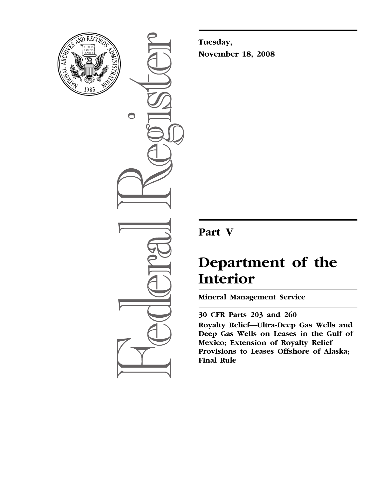

 $\bigcirc$ 

**Tuesday, November 18, 2008** 

# **Part V**

# **Department of the Interior**

**Mineral Management Service** 

**30 CFR Parts 203 and 260 Royalty Relief—Ultra-Deep Gas Wells and Deep Gas Wells on Leases in the Gulf of Mexico; Extension of Royalty Relief Provisions to Leases Offshore of Alaska; Final Rule**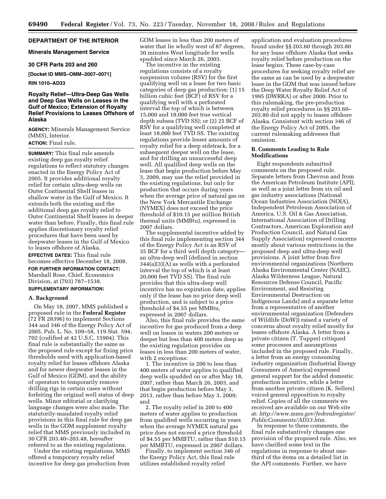#### **DEPARTMENT OF THE INTERIOR**

#### **Minerals Management Service**

#### **30 CFR Parts 203 and 260**

**[Docket ID MMS–OMM–2007–0071]** 

**RIN 1010–AD33** 

# **Royalty Relief—Ultra-Deep Gas Wells and Deep Gas Wells on Leases in the Gulf of Mexico; Extension of Royalty Relief Provisions to Leases Offshore of Alaska**

**AGENCY:** Minerals Management Service (MMS), Interior. **ACTION:** Final rule.

**SUMMARY:** This final rule amends existing deep gas royalty relief regulations to reflect statutory changes enacted in the Energy Policy Act of 2005. It provides additional royalty relief for certain ultra-deep wells on Outer Continental Shelf leases in shallow water in the Gulf of Mexico. It extends both the existing and the additional deep gas royalty relief to Outer Continental Shelf leases in deeper water than before. Finally, this final rule applies discretionary royalty relief procedures that have been used by deepwater leases in the Gulf of Mexico to leases offshore of Alaska.

**EFFECTIVE DATES:** This final rule becomes effective December 18, 2008.

**FOR FURTHER INFORMATION CONTACT:**  Marshall Rose, Chief, Economics Division, at (703) 787–1538.

# **SUPPLEMENTARY INFORMATION:**

#### **A. Background**

On May 18, 2007, MMS published a proposed rule in the **Federal Register**  (72 FR 28396) to implement Sections 344 and 346 of the Energy Policy Act of 2005, Pub. L. No. 109–58, 119 Stat. 594, 702 (codified at 42 U.S.C. 15904). This final rule is substantially the same as the proposed rule except for fixing price thresholds used with application-based royalty relief for leases offshore Alaska and for newer deepwater leases in the Gulf of Mexico (GOM), and the ability of operators to temporarily remove drilling rigs in certain cases without forfeiting the original well status of deep wells. Minor editorial or clarifying language changes were also made. The statutorily-mandated royalty relief provisions in this final rule for deep gas wells in the GOM supplement royalty relief that MMS previously included in 30 CFR 203.40–203.48, hereafter referred to as the existing regulations.

Under the existing regulations, MMS offered a temporary royalty relief incentive for deep gas production from

GOM leases in less than 200 meters of water that lie wholly west of 87 degrees, 30 minutes West longitude for wells spudded since March 26, 2003.

The incentive in the existing regulations consists of a royalty suspension volume (RSV) for the first qualifying well on a lease for two basic categories of deep gas production: (1) 15 billion cubic feet (BCF) of RSV for a qualifying well with a perforated interval the top of which is between 15,000 and 18,000 feet true vertical depth subsea (TVD SS); or (2) 25 BCF of RSV for a qualifying well completed at least 18,000 feet TVD SS. The existing regulations provide lesser amounts of royalty relief for a deep sidetrack, for a subsequent deeper well on the lease, and for drilling an unsuccessful deep well. All qualified deep wells on the lease that begin production before May 3, 2009, may use the relief provided in the existing regulations, but only for production that occurs during years when the average price of natural gas on the New York Mercantile Exchange (NYMEX) does not exceed the price threshold of \$10.15 per million British thermal units (MMBtu), expressed in 2007 dollars.

The supplemental incentive added by this final rule implementing section 344 of the Energy Policy Act is an RSV of 35 BCF for a third well depth category an ultra-deep well (defined in section 344(a)(3)(A) as wells with a perforated interval the top of which is at least 20,000 feet TVD SS). The final rule provides that this ultra-deep well incentive has no expiration date, applies only if the lease has no prior deep well production, and is subject to a price threshold of \$4.55 per MMBtu, expressed in 2007 dollars.

Also, this final rule provides the same incentive for gas produced from a deep well on leases in waters 200 meters or deeper but less than 400 meters deep as the existing regulation provides on leases in less than 200 meters of water, with 2 exceptions:

1. The incentive in 200 to less than 400 meters of water applies to qualified deep wells spudded on or after May 18, 2007, rather than March 26, 2003, and that begin production before May 3, 2013, rather than before May 3, 2009; and

2. The royalty relief in 200 to 400 meters of water applies to production from qualified wells occurring in years when the average NYMEX natural gas price does not exceed a price threshold of \$4.55 per MMBTU, rather than \$10.15 per MMBTU, expressed in 2007 dollars.

Finally, to implement section 346 of the Energy Policy Act, this final rule utilizes established royalty relief

application and evaluation procedures found under §§ 203.60 through 203.80 for any lease offshore Alaska that seeks royalty relief before production on the lease begins. These case-by-case procedures for seeking royalty relief are the same as can be used by a deepwater lease in the GOM that was issued before the Deep Water Royalty Relief Act of 1995 (DWRRA) or after 2000. Prior to this rulemaking, the pre-production royalty relief procedures in §§ 203.60– 203.80 did not apply to leases offshore Alaska. Consistent with section 346 of the Energy Policy Act of 2005, the current rulemaking addresses that omission.

#### **B. Comments Leading to Rule Modifications**

Eight respondents submitted comments on the proposed rule. Separate letters from Chevron and from the American Petroleum Institute (API), as well as a joint letter from six oil and gas industry associations (National Ocean Industries Association (NOIA), Independent Petroleum Association of America, U.S. Oil & Gas Association, International Association of Drilling Contractors, American Exploration and Production Council, and Natural Gas Supply Association) expressed concerns mostly about various restrictions in the proposed deep and ultra-deep well provisions. A joint letter from five environmental organizations (Northern Alaska Environmental Center (NAEC), Alaska Wilderness League, Natural Resources Defense Council, Pacific Environment, and Resisting Environmental Destruction on Indigenous Lands) and a separate letter from a representative of another environmental organization (Defenders of Wildlife (DoW)) raised a variety of concerns about royalty relief mostly for leases offshore Alaska. A letter from a private citizen (T. Tupper) critiqued some processes and assumptions included in the proposed rule. Finally, a letter from an energy consuming industry organization (Industrial Energy Consumers of America) expressed general support for the added domestic production incentive, while a letter from another private citizen (K. Sellers) voiced general opposition to royalty relief. Copies of all the comments we received are available on our Web site at: *[http://www.mms.gov/federalregister/](http://www.mms.gov/federalregister/PublicComments/AD33.htm)  PublicComments/AD33.htm.* 

In response to these comments, the final rule substantively changes one provision of the proposed rule. Also, we have clarified some text in the regulations in response to about onethird of the items on a detailed list in the API comments. Further, we have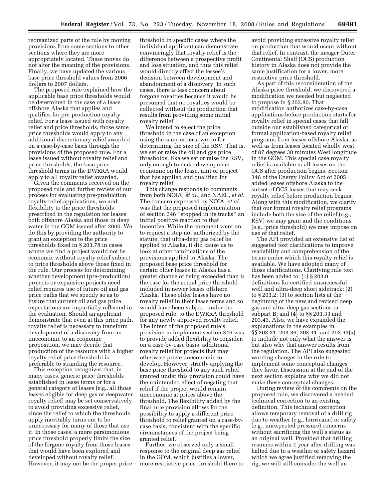reorganized parts of the rule by moving provisions from some sections to other sections where they are more appropriately located. These moves do not alter the meaning of the provisions. Finally, we have updated the various base price threshold values from 2006 dollars to 2007 dollars.

The proposed rule explained how the applicable base price thresholds would be determined in the case of a lease offshore Alaska that applies and qualifies for pre-production royalty relief. For a lease issued with royalty relief and price thresholds, those same price thresholds would apply to any additional discretionary relief awarded on a case-by-case basis through the provisions of the proposed rule. For a lease issued without royalty relief and price thresholds, the base price threshold terms in the DWRRA would apply to all royalty relief awarded.

Given the comments received on the proposed rule and further review of our process for evaluating pre-production royalty relief applications, we add flexibility to the price thresholds prescribed in the regulation for leases both offshore Alaska and those in deep water in the GOM issued after 2000. We do this by providing the authority to grant an exception to the price thresholds fixed in § 203.78 in cases where we find a project would not be economic without royalty relief subject to price thresholds above those fixed in the rule. Our process for determining whether development (pre-production) projects or expansion projects need relief requires use of future oil and gas price paths that we specify so as to insure that current oil and gas price expectations are impartially reflected in the evaluation. Should an applicant demonstrate that even at this price path, royalty relief is necessary to transform development of a discovery from an uneconomic to an economic proposition, we may decide that production of the resource with a higher royalty relief price threshold is preferable to stranding the resource.

This exception recognizes that, in many cases, generic price thresholds established in lease terms or for a general category of leases (e.g., all those leases eligible for deep gas or deepwater royalty relief) may be set conservatively to avoid providing excessive relief, since the relief to which the thresholds apply inevitably turns out to be unnecessary for many of those that use it. In those cases, a more parsimonious price threshold properly limits the size of the forgone royalty from those leases that would have been explored and developed without royalty relief. However, it may not be the proper price

threshold in specific cases where the individual applicant can demonstrate convincingly that royalty relief is the difference between a prospective profit and loss situation, and thus this relief would directly affect the lessee's decision between development and abandonment of a discovery. In such cases, there is less concern about forgone royalties because it would be presumed that no royalties would be collected without the production that results from providing some initial royalty relief.

We intend to select the price threshold in the case of an exception using the same criteria we do for determining the size of the RSV. That is, we set or raise the oil and gas price thresholds, like we set or raise the RSV, only enough to make development economic on the lease, unit or project that has applied and qualified for royalty relief.

This change responds to comments from both NOIA, *et al.*, and NAEC, *et al.*  The concern expressed by NOIA, *et al.*, was that the proposed implementation of section 346 ''stopped in its tracks'' an initial positive reaction to that incentive. While the comment went on to request a step not authorized by the statute, that ultra-deep gas relief be applied to Alaska, it did cause us to look at other ramifications of the provisions applied to Alaska. The proposed base price threshold for certain older leases in Alaska has a greater chance of being exceeded than is the case for the actual price threshold included in newer leases offshore Alaska. These older leases have no royalty relief in their lease terms and so would have been subject, under the proposed rule, to the DWRRA threshold for any newly approved royalty relief. The intent of the proposed rule's provision to implement section 346 was to provide added flexibility to consider, on a case-by-case basis, additional royalty relief for projects that may otherwise prove uneconomic to develop. However, strictly applying the base price threshold to any such relief granted under this provision could have the unintended effect of negating that relief if the project would remain uneconomic at prices above the threshold. The flexibility added by the final rule provision allows for the possibility to apply a different price threshold to relief granted on a case-bycase basis, consistent with the specific circumstances of the project being granted relief.

Further, we observed only a small response to the original deep gas relief in the GOM, which justifies a lower, more restrictive price threshold there to avoid providing excessive royalty relief on production that would occur without that relief. In contrast, the meager Outer Continental Shelf (OCS) production history in Alaska does not provide the same justification for a lower, more restrictive price threshold.

As part of this reconsideration of the Alaska price threshold, we discovered a modification we needed but neglected to propose in § 203.80. That modification authorizes case-by-case applications before production starts for royalty relief in special cases that fall outside our established categorical or formal application-based royalty relief programs from leases offshore Alaska, as well as from leases located wholly west of 87 degrees 30 minutes West longitude in the GOM. This special case royalty relief is available to all leases on the OCS after production begins. Section 346 of the Energy Policy Act of 2005 added leases offshore Alaska to the subset of OCS leases that may seek royalty relief before production begins. Along with this modification, we clarify that our formal royalty relief programs include both the size of the relief (e.g., RSV) we may grant and the conditions (e.g., price threshold) we may impose on use of that relief.

The API provided an extensive list of suggested text clarifications to improve readability and comprehension of the terms under which this royalty relief is available. We have adopted many of those clarifications. Clarifying rule text has been added to: (1) § 203.0 definitions for certified unsuccessful well and ultra-deep short sidetrack; (2) to § 203.2; (3) to section lists at the beginning of the new and revised deep gas and ultra-deep gas sections in subpart B; and (4) to §§ 203.33 and 203.43. Also, we have expanded the explanations in the examples in §§ 203.31, 203.36, 203.41, and 203.43(a) to include not only what the answer is but also why that answer results from the regulation. The API also suggested wording changes in the rule to implement some conceptual changes they favor. Discussion at the end of the next section explains why we did not make these conceptual changes.

During review of the comments on the proposed rule, we discovered a needed technical correction to an existing definition. This technical correction allows temporary removal of a drill rig due to weather (e.g., hurricane) or safety (e.g., unexpected pressure) concerns without sacrificing the well's status as an original well. Provided that drilling resumes within 1 year after drilling was halted due to a weather or safety hazard which we agree justified removing the rig, we will still consider the well an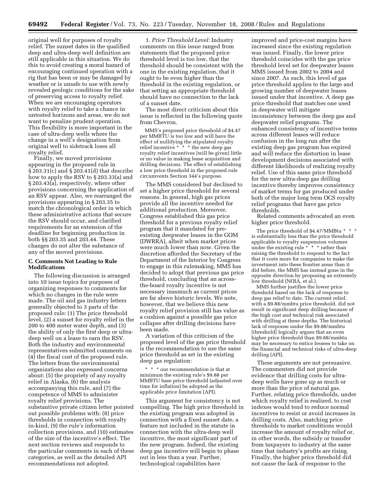original well for purposes of royalty relief. The sunset dates in the qualified deep and ultra-deep well definition are still applicable in this situation. We do this to avoid creating a moral hazard of encouraging continued operation with a rig that has been or may be damaged by weather or is unsafe to use with newly revealed geologic conditions for the sake of preserving access to royalty relief. When we are encouraging operators with royalty relief to take a chance in untested horizons and areas, we do not want to penalize prudent operation. This flexibility is more important in the case of ultra-deep wells where the change in a well's designation from original well to sidetrack loses all royalty relief.

Finally, we moved provisions appearing in the proposed rule in § 203.31(c) and § 203.41(d) that describe how to apply the RSV to § 203.33(a) and § 203.43(a), respectively, where other provisions concerning the application of an RSV appear. Also, we rearranged the provisions appearing in § 203.35 to match the chronological order in which these administrative actions that secure the RSV should occur, and clarified requirements for an extension of the deadline for beginning production in both §§ 203.35 and 203.44. These changes do not alter the substance of any of the moved provisions.

#### **C. Comments Not Leading to Rule Modifications**

The following discussion is arranged into 10 issue topics for purposes of organizing responses to comments for which no changes in the rule were made. The oil and gas industry letters generally objected to 3 parts of the proposed rule: (1) The price threshold level, (2) a sunset for royalty relief in the 200 to 400 meter water depth, and (3) the ability of only the first deep or ultradeep well on a lease to earn the RSV. Both the industry and environmental representatives submitted comments on (4) the fiscal cost of the proposed rule. The letters from the environmental organizations also expressed concerns about: (5) the propriety of any royalty relief in Alaska, (6) the analysis accompanying this rule, and (7) the competence of MMS to administer royalty relief provisions. The substantive private citizen letter pointed out possible problems with: (8) price thresholds in connection with royalty in-kind, (9) the rule's information collection provisions, and (10) estimates of the size of the incentive's effect. The next section reviews and responds to the particular comments in each of these categories, as well as the detailed API recommendations not adopted.

1. *Price Threshold Level:* Industry comments on this issue ranged from statements that the proposed price threshold level is too low, that the threshold should be consistent with the one in the existing regulation, that it ought to be even higher than the threshold in the existing regulation, or that setting an appropriate threshold should have no connection to the lack of a sunset date.

The most direct criticism about this issue is reflected in the following quote from Chevron.

MMS's proposed price threshold of \$4.47 per MMBTU is too low and will have the effect of nullifying the stipulated royalty relief incentive \* \* \* the new deep gas royalty relief incentives [will be given] little or no value in making lease acquisition and drilling decisions. The effect of establishing a low price threshold in the proposed rule circumvents Section 344's purpose.

The MMS considered but declined to set a higher price threshold for several reasons. In general, high gas prices provide all the incentive needed for additional production. Moreover, Congress established this gas price threshold for a previous royalty relief program that it mandated for preexisting deepwater leases in the GOM (DWRRA), albeit when market prices were much lower than now. Given the discretion afforded the Secretary of the Department of the Interior by Congress to engage in this rulemaking, MMS has decided to adopt that previous gas price threshold, concluding that an acrossthe-board royalty incentive is not necessary inasmuch as current prices are far above historic levels. We note, however, that we believe this new royalty relief provision still has value as a cushion against a possible gas price collapse after drilling decisions have been made.

A variation of this criticism of the proposed level of the gas price threshold is the recommendation to use the same price threshold as set in the existing deep gas regulation:

\* \* \* our recommendation is that at minimum the existing rule's \$9.88 per MMBTU base price threshold (adjusted over time for inflation) be adopted as the applicable price limitation (API).

This argument for consistency is not compelling. The high price threshold in the existing program was adopted in connection with a fixed sunset date, a feature not included in the statute in connection with the ultra-deep well incentive, the most significant part of the new program. Indeed, the existing deep gas incentive will begin to phase out in less than a year. Further, technological capabilities have

improved and price-cost margins have increased since the existing regulation was issued. Finally, the lower price threshold coincides with the gas price threshold level set for deepwater leases MMS issued from 2002 to 2004 and since 2007. As such, this level of gas price threshold applies to the large and growing number of deepwater leases issued under that incentive. A deep gas price threshold that matches one used in deepwater will mitigate inconsistency between the deep gas and deepwater relief programs. The enhanced consistency of incentive terms across different leases will reduce confusion in the long run after the existing deep gas program has expired and will reduce the distortion in lease development decisions associated with different likelihoods of realizing royalty relief. Use of this same price threshold for the new ultra-deep gas drilling incentive thereby improves consistency of market terms for gas produced under both of the major long term OCS royalty relief programs that have gas price thresholds.

Related comments advocated an even higher price threshold.

The price threshold of \$4.47/MMBtu \* \* \* is substantially less than the price threshold applicable to royalty suspension volumes under the existing rule  $*^* * *$  rather than raising the threshold to respond to the fact that it costs more for companies to make the investment into these frontier areas than it did before, the MMS has instead gone in the opposite direction by proposing an extremely low threshold (NOIA, et al.).

MMS further justifies the lower price threshold based on the lack of response to deep gas relief to date. The current relief, with a \$9.88/mmbtu price threshold, did not result in significant deep drilling because of the high cost and technical risk associated with drilling at these depths. The historical lack of response under the \$9.88/mmbtu [threshold] logically argues that an even higher price threshold than \$9.88/mmbtu may be necessary to entice lessees to take on the financial and technical risks of ultra-deep drilling (API).

These arguments are not persuasive. The commenters did not provide evidence that drilling costs for ultradeep wells have gone up as much or more than the price of natural gas. Further, relating price thresholds, under which royalty relief is realized, to cost indexes would tend to reduce normal incentives to resist or avoid increases in drilling costs. Also, matching price thresholds to market conditions would increase the amount of royalty relief or, in other words, the subsidy or transfer from taxpayers to industry at the same time that industry's profits are rising. Finally, the higher price threshold did not cause the lack of response to the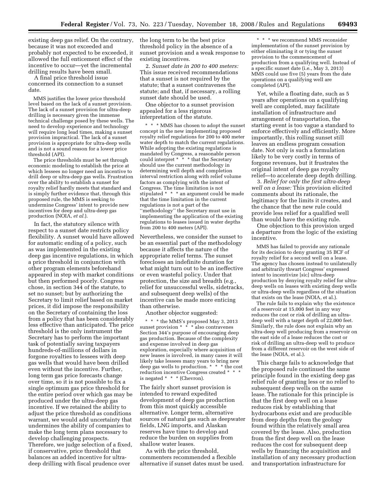existing deep gas relief. On the contrary, because it was not exceeded and probably not expected to be exceeded, it allowed the full enticement effect of the incentive to occur—yet the incremental drilling results have been small.

A final price threshold issue concerned its connection to a sunset date.

MMS justifies the lower price threshold level based on the lack of a sunset provision. The lack of a sunset provision for ultra-deep drilling is necessary given the immense technical challenge posed by these wells. The need to develop experience and technology will require long lead times, making a sunset provision impractical. The lack of a sunset provision is appropriate for ultra-deep wells and is not a sound reason for a lower price threshold (API).

The price thresholds must be set through economic modeling to establish the price at which lessees no longer need an incentive to drill deep or ultra-deep gas wells. Frustration over the ability to establish a sunset for royalty relief hardly meets that standard and is simply further evidence that, through this proposed rule, the MMS is seeking to undermine Congress' intent to provide new incentives for deep and ultra-deep gas production (NOIA, *et al.*).

In fact, the statutory silence with respect to a sunset date restricts policy flexibility. A sunset would have allowed for automatic ending of a policy, such as was implemented in the existing deep gas incentive regulations, in which a price threshold in conjunction with other program elements beforehand appeared in step with market conditions but then performed poorly. Congress chose, in section 344 of the statute, to set no sunset; but by authorizing the Secretary to limit relief based on market prices, it did impose the responsibility on the Secretary of containing the loss from a policy that has been considerably less effective than anticipated. The price threshold is the only instrument the Secretary has to perform the important task of potentially saving taxpayers hundreds-of-millions of dollars in forgone royalties to lessees with deep gas wells that would have been drilled even without the incentive. Further, long term gas price forecasts change over time, so it is not possible to fix a single optimum gas price threshold for the entire period over which gas may be produced under the ultra-deep gas incentive. If we retained the ability to adjust the price threshold as conditions warrant, we would add uncertainty that undermines the ability of companies to make the long term plans necessary to develop challenging prospects. Therefore, we judge selection of a fixed, if conservative, price threshold that balances an added incentive for ultradeep drilling with fiscal prudence over

the long term to be the best price threshold policy in the absence of a sunset provision and a weak response to existing incentives.

2. *Sunset date in 200 to 400 meters:*  This issue received recommendations that a sunset is not required by the statute; that a sunset contravenes the statute; and that, if necessary, a rolling sunset date should be used.

One objector to a sunset provision appealed for a less rigorous interpretation of the statute.

\* \* \* MMS has chosen to adopt the sunset concept in the new implementing proposed royalty relief regulations for 200 to 400 meter water depth to match the current regulations. While adopting the existing regulations is mandated by Congress, a reasonable person could interpret \* \* \* that the Secretary should use the current methodology in determining well depth and completion interval restriction along with relief volume factors as complying with the intent of Congress. The time limitation is not stipulated \* \* \* an argument could be made that the time limitation in the current regulations is not a part of the ''methodology'' the Secretary must use in implementing the application of the existing regulations to leases issued in water depths from 200 to 400 meters (API).

Nevertheless, we consider the sunset to be an essential part of the methodology because it affects the nature of the appropriate relief terms. The sunset forecloses an indefinite duration for what might turn out to be an ineffective or even wasteful policy. Under that protection, the size and breadth (e.g., relief for unsuccessful wells, sidetracks, and subsequent deep wells) of the incentive can be made more enticing than otherwise.

Another objector suggested:

\* \* \* the MMS's proposed May 3, 2013 sunset provision  $* * * \hat{a}$ lso contravenes Section 344's purpose of encouraging deep gas production. Because of the complexity and expense involved in deep gas exploration, especially where acquisition of new leases is involved, in many cases it will likely take lessees many years to bring new deep gas wells to production. \* \* \* the cost reduction incentive Congress created \* \* \* is negated \* \* \* (Chevron).

The fairly short sunset provision is intended to reward expedited development of deep gas production from this most quickly accessible alternative. Longer term, alternative sources of natural gas such as deepwater fields, LNG imports, and Alaskan reserves have time to develop and reduce the burden on supplies from shallow water leases.

As with the price threshold, commenters recommended a flexible alternative if sunset dates must be used.

\* \* \* we recommend MMS reconsider implementation of the sunset provision by either eliminating it or tying the sunset provision to the commencement of production from a qualifying well. Instead of a specific sunset date (i.e., May 3, 2013) MMS could use five (5) years from the date operations on a qualifying well are completed (API).

Yet, while a floating date, such as 5 years after operations on a qualifying well are completed, may facilitate installation of infrastructure and arrangement of transportation, the starting event is too vague a standard to enforce effectively and efficiently. More importantly, this rolling sunset still leaves an endless program cessation date. Not only is such a formulation likely to be very costly in terms of forgone revenues, but it frustrates the original intent of deep gas royalty relief—to accelerate deep depth drilling.

3. *Relief for only the first ultra-deep well on a lease:* This provision elicited comments about its rationale, the legitimacy for the limits it creates, and the chance that the new rule could provide less relief for a qualified well than would have the existing rule.

One objection to this provision urged a departure from the logic of the existing incentive.

MMS has failed to provide any rationale for its decision to deny granting 35 BCF of royalty relief for a second well on a lease. The agency has chosen instead to unilaterally and arbitrarily thwart Congress' expressed intent to incentivize [sic] ultra-deep production by denying royalty relief for ultradeep wells on leases with existing deep wells or ultra-deep wells regardless of the situation that exists on the lease (NOIA, et al.).

The rule fails to explain why the existence of a reservoir at 15,000 feet in any way reduces the cost or risk of drilling an ultradeep well with a target depth of 22,000 feet. Similarly, the rule does not explain why an ultra-deep well producing from a reservoir on the east side of a lease reduces the cost or risk of drilling an ultra-deep well to produce from a different reservoir on the west side of the lease (NOIA, et al.).

This charge fails to acknowledge that the proposed rule continued the same principle found in the existing deep gas relief rule of granting less or no relief to subsequent deep wells on the same lease. The rationale for this principle is that the first deep well on a lease reduces risk by establishing that hydrocarbons exist and are producible from deep depths from the geology found within the relatively small area covered by the lease. Also, production from the first deep well on the lease reduces the cost for subsequent deep wells by financing the acquisition and installation of any necessary production and transportation infrastructure for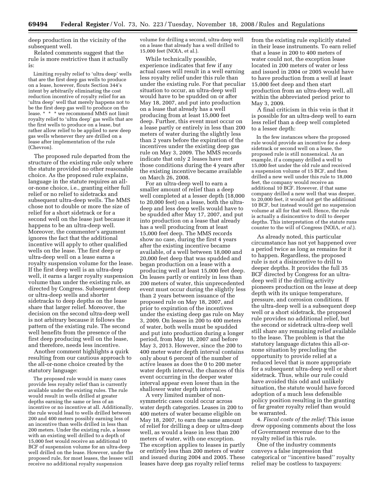deep production in the vicinity of the subsequent well.

Related comments suggest that the rule is more restrictive than it actually is:

Limiting royalty relief to 'ultra deep' wells that are the first deep gas wells to produce on a lease, however, flouts Section 344's intent by arbitrarily eliminating the cost reduction incentive of royalty relief for an 'ultra deep' well that merely happens not to be the first deep gas well to produce on the lease. \* \* \* we recommend MMS not limit royalty relief to 'ultra deep' gas wells that are the first wells to produce on a lease, but rather allow relief to be applied to new deep gas wells whenever they are drilled on a lease after implementation of the rule (Chevron).

The proposed rule departed from the structure of the existing rule only where the statute provided no other reasonable choice. As the proposed rule explains, language in the statute requires an allor-none choice, i.e., granting either full relief or no relief to sidetracks and subsequent ultra-deep wells. The MMS chose not to double or more the size of relief for a short sidetrack or for a second well on the lease just because it happens to be an ultra-deep well. Moreover, the commenter's argument ignores the fact that the additional incentive will apply to other qualified wells on the lease. The first deep or ultra-deep well on a lease earns a royalty suspension volume for the lease. If the first deep well is an ultra-deep well, it earns a larger royalty suspension volume than under the existing rule, as directed by Congress. Subsequent deep or ultra-deep wells and shorter sidetracks to deep depths on the lease share that larger relief. Moreover, the decision on the second ultra-deep well is not arbitrary because it follows the pattern of the existing rule. The second well benefits from the presence of the first deep producing well on the lease, and therefore, needs less incentive.

Another comment highlights a quirk resulting from our cautious approach to the all-or-none choice created by the statutory language:

The proposed rule would in many cases provide less royalty relief than is currently available under the existing rules. The rule would result in wells drilled at greater depths earning the same or less of an incentive or no incentive at all. Additionally, the rule would lead to wells drilled between 200 and 400 meters possibly earning less of an incentive than wells drilled in less than 200 meters. Under the existing rule, a lessee with an existing well drilled to a depth of 15,000 feet would receive an additional 10 BCF of suspension volume for an ultra-deep well drilled on the lease. However, under the proposed rule, for most leases, the lessee will receive no additional royalty suspension

volume for drilling a second, ultra-deep well on a lease that already has a well drilled to 15,000 feet (NOIA, et al.).

While technically possible, experience indicates that few if any actual cases will result in a well earning less royalty relief under this rule than under the existing rule. For that peculiar situation to occur, an ultra-deep well would have to be spudded on or after May 18, 2007, and put into production on a lease that already has a well producing from at least 15,000 feet deep. Further, this event must occur on a lease partly or entirely in less than 200 meters of water during the slightly less than 2 years before the expiration of the incentives under the existing deep gas rule on May 3, 2009. The MMS records indicate that only 2 leases have met those conditions during the 4 years after the existing incentive became available on March 26, 2008.

For an ultra-deep well to earn a smaller amount of relief than a deep well completed at a lesser depth (18,000 to 20,000 feet) on a lease, both the ultradeep and less deep wells would have to be spudded after May 17, 2007, and put into production on a lease that already has a well producing from at least 15,000 feet deep. The MMS records show no case, during the first 4 years after the existing incentive became available, of a well between 18,000 and 20,000 feet deep that was spudded and began production on a lease with a producing well at least 15,000 feet deep. On leases partly or entirely in less than 200 meters of water, this unprecedented event must occur during the slightly less than 2 years between issuance of the proposed rule on May 18, 2007, and prior to expiration of the incentives under the existing deep gas rule on May 3, 2009. On leases in 200 to 400 meters of water, both wells must be spudded and put into production during a longer period, from May 18, 2007 and before May 3, 2013. However, since the 200 to 400 meter water depth interval contains only about 6 percent of the number of active leases as does the 0 to 200 meter water depth interval, the chances of this event occurring in the deeper water interval appear even lower than in the shallower water depth interval.

A very limited number of nonsymmetric cases could occur across water depth categories. Leases in 200 to 400 meters of water became eligible on May 18, 2007, to earn the same amount of relief for drilling a deep or ultra-deep well, as would a lease in less than 200 meters of water, with one exception. The exception applies to leases in partly or entirely less than 200 meters of water and issued during 2004 and 2005. These leases have deep gas royalty relief terms

from the existing rule explicitly stated in their lease instruments. To earn relief that a lease in 200 to 400 meters of water could not, the exception lease located in 200 meters of water or less and issued in 2004 or 2005 would have to have production from a well at least 15,000 feet deep and then start production from an ultra-deep well, all within the abbreviated period prior to May 3, 2009.

A final criticism in this vein is that it is possible for an ultra-deep well to earn less relief than a deep well completed to a lesser depth:

In the few instances where the proposed rule would provide an incentive for a deep sidetrack or second well on a lease, the proposed rule is still nonsensical. As an example, if a company drilled a well to 15,000 feet under the old rule and received a suspension volume of 15 BCF, and then drilled a new well under this rule to 18,000 feet, the company would receive an additional 10 BCF. However, if that same company drilled a new well that was deeper, to 20,000 feet, it would not get the additional 10 BCF, but instead would get no suspension volume at all for that well. Hence, the rule is actually a disincentive to drill to deeper depths. This interpretation of the statute runs counter to the will of Congress (NOIA, *et al.*).

As already noted, this particular circumstance has not yet happened over a period twice as long as remains for it to happen. Regardless, the proposed rule is not a disincentive to drill to deeper depths. It provides the full 35 BCF directed by Congress for an ultradeep well if the drilling activity pioneers production on the lease at deep depth with its unique temperature, pressure, and corrosion conditions. If the ultra-deep well is a subsequent deep well or a short sidetrack, the proposed rule provides no additional relief, but the second or sidetrack ultra-deep well still share any remaining relief available to the lease. The problem is that the statutory language dictates this all-ornone situation by precluding the opportunity to provide relief at a reduced level that is more appropriate for a subsequent ultra-deep well or short sidetrack. Thus, while our rule could have avoided this odd and unlikely situation, the statute would have forced adoption of a much less defensible policy position resulting in the granting of far greater royalty relief than would be warranted.

4. *Fiscal costs of the relief:* This issue drew opposing comments about the loss of Government revenue due to the royalty relief in this rule.

One of the industry comments conveys a false impression that categorical or ''incentive based'' royalty relief may be costless to taxpayers: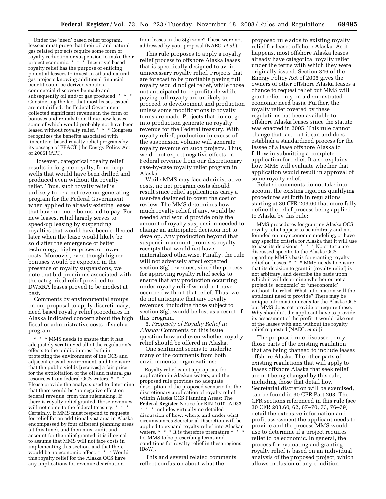Under the 'need' based relief program, lessees must prove that their oil and natural gas related projects require some form of royalty reduction or suspension to make their project economic. \* \* \* 'Incentive' based royalty relief has the purpose of enticing potential lessees to invest in oil and natural gas projects knowing additional financial benefit could be derived should a commercial discovery be made and subsequently oil and/or gas produced. \* \* \* Considering the fact that most leases issued are not drilled, the Federal Government collected significant revenue in the form of bonuses and rentals from these new leases, some of which would probably not have been leased without royalty relief. \* \* \* Congress recognizes the benefits associated with 'incentive' based royalty relief programs by its passage of EPACT [the Energy Policy Act of 2005] (API).

However, categorical royalty relief results in forgone royalty, from deep wells that would have been drilled and produced even without the royalty relief. Thus, such royalty relief is unlikely to be a net revenue generating program for the Federal Government when applied to already existing leases that have no more bonus bid to pay. For new leases, relief largely serves to speed-up leasing by suspending royalties that would have been collected later when the lease would likely be sold after the emergence of better technology, higher prices, or lower costs. Moreover, even though higher bonuses would be expected in the presence of royalty suspensions, we note that bid premiums associated with the categorical relief provided to DWRRA leases proved to be modest at best.

Comments by environmental groups on our proposal to apply discretionary, need based royalty relief procedures in Alaska indicated concern about the high fiscal or administrative costs of such a program:

\* \* \* MMS needs to ensure that it has adequately scrutinized all of the regulation's effects to the public interest both in protecting the environment of the OCS and adjacent coastal environment, and to ensure that the public yields [receives] a fair price for the exploitation of the oil and natural gas resources from federal OCS waters. \* \* \* Please provide the analysis used to determine that there would be 'no negative effect on federal revenue' from this rulemaking. If there is royalty relief granted, those revenues will not come to the federal treasury. \* \* \* Certainly, if MMS must respond to requests for relief for an additional vast area in Alaska encompassed by four different planning areas (at this time), and then must audit and account for the relief granted, it is illogical to assume that MMS will not face costs in implementing this section, and that there would be no economic effect. \* \* \* Would this royalty relief for the Alaska OCS have any implications for revenue distribution

from leases in the 8(g) zone? These were not addressed by your proposal (NAEC, *et al.*).

This rule proposes to apply a royalty relief process to offshore Alaska leases that is specifically designed to avoid unnecessary royalty relief. Projects that are forecast to be profitable paying full royalty would not get relief, while those not anticipated to be profitable while paying full royalty are unlikely to proceed to development and production unless some modifications to royalty terms are made. Projects that do not go into production generate no royalty revenue for the Federal treasury. With royalty relief, production in excess of the suspension volume will generate royalty revenue on such projects. Thus, we do not expect negative effects on Federal revenue from our discretionary case-by-case royalty relief program in Alaska.

While MMS may face administrative costs, no net program costs should result since relief applications carry a user-fee designed to cover the cost of review. The MMS determines how much royalty relief, if any, would be needed and would provide only the amount of royalty suspension needed to change an anticipated decision not to develop. Any production beyond that suspension amount promises royalty receipts that would not have materialized otherwise. Finally, the rule will not adversely affect expected section 8(g) revenues, since the process for approving royalty relief seeks to ensure that any production occurring under royalty relief would not have occurred without that relief. Thus, we do not anticipate that any royalty revenues, including those subject to section 8(g), would be lost as a result of this program.

5. *Propriety of Royalty Relief in Alaska:* Comments on this issue question how and even whether royalty relief should be offered in Alaska.

One sentiment seems to underlie many of the comments from both environmental organizations:

Royalty relief is not appropriate for application in Alaskan waters, and the proposed rule provides no adequate description of the proposed scenario for the discretionary application of royalty relief within Alaska OCS Planning Areas: The **Federal Register** Notice for RIN 1010–AD33 \* includes virtually no detailed discussion of how, where, and under what circumstances Secretarial Discretion will be applied to expand royalty relief into Alaskan waters.  $* * *$  It is therefore premature  $*$ for MMS to be prescribing terms and conditions for royalty relief in these regions (DoW).

This and several related comments reflect confusion about what the

proposed rule adds to existing royalty relief for leases offshore Alaska. As it happens, most offshore Alaska leases already have categorical royalty relief under the terms with which they were originally issued. Section 346 of the Energy Policy Act of 2005 gives the owners of other offshore Alaska leases a chance to request relief but MMS will grant relief only on a demonstrated economic need basis. Further, the royalty relief covered by these regulations has been available to offshore Alaska leases since the statute was enacted in 2005. This rule cannot change that fact, but it can and does establish a standardized process for the lessee of a lease offshore Alaska to follow in submitting a complete application for relief. It also explains how MMS will evaluate whether that application would result in approval of some royalty relief.

Related comments do not take into account the existing rigorous qualifying procedures set forth in regulations starting at 30 CFR 203.60 that more fully define the relief process being applied to Alaska by this rule:

MMS procedures for granting Alaska OCS royalty relief appear to be arbitrary and not founded on any economic modeling, or have any specific criteria for Alaska that it will use to base its decisions. \* \* \* No criteria are discussed specific to the Alaska OCS regarding MMS's basis for granting royalty relief on leases. \* \* \* MMS needs to ensure that its decision to grant it [royalty relief] is not arbitrary, and describe the basis upon which it will determine whether or not a project is 'economic' or 'uneconomic' without the relief. What information will the applicant need to provide? There may be unique information needs for the Alaska OCS but MMS does not provide or require these. Why shouldn't the applicant have to provide its assessment of the profit it would take out of the leases with and without the royalty relief requested (NAEC, *et al.*)?

The proposed rule discussed only those parts of the existing regulation that are being changed to include leases offshore Alaska. The other parts of existing regulations that will apply to leases offshore Alaska that seek relief are not being changed by this rule, including those that detail how Secretarial discretion will be exercised, can be found in 30 CFR Part 203. The CFR sections referenced in this rule (see 30 CFR 203.60, 62, 67–70, 73, 76–79) detail the extensive information and profit assessment the applicant needs to provide and the process MMS would use to determine if a project requires relief to be economic. In general, the process for evaluating and granting royalty relief is based on an individual analysis of the proposed project, which allows inclusion of any condition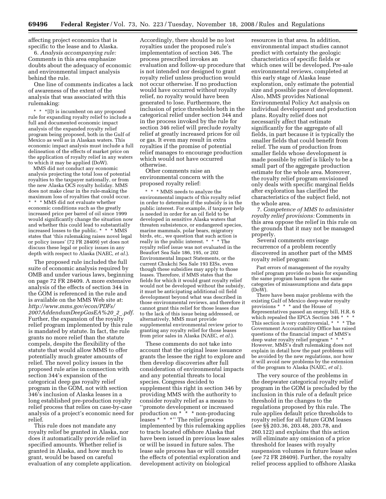affecting project economics that is specific to the lease and to Alaska.

6. *Analysis accompanying rule:*  Comments in this area emphasize doubts about the adequacy of economic and environmental impact analysis behind the rule.

One line of comments indicates a lack of awareness of the extent of the analysis that was associated with this rulemaking:

\* \* \*[I]t is incumbent on any proposed rule for expanding royalty relief to include a full and documented economic impact analysis of the expanded royalty relief program being proposed, both in the Gulf of Mexico as well as in Alaskan waters. This economic impact analysis must include a full delineation of the effects of market price on the application of royalty relief in any waters to which it may be applied (DoW).

MMS did not conduct any economic analysis projecting the total loss of potential royalties to the taxpayer nationally, or from the new Alaska OCS royalty holiday. MMS does not make clear in the rule-making the maximum loss of royalties that could occur. \* \* \* MMS did not evaluate whether economic conditions such as the greatly increased price per barrel of oil since 1999 would significantly change the situation now and whether this could lead to substantially increased losses to the public. \* \* \* MMS states that 'this rulemaking raises novel legal or policy issues' (72 FR 28409) yet does not discuss these legal or policy issues in any depth with respect to Alaska (NAEC, *et al.*).

The proposed rule included the full suite of economic analysis required by OMB and under various laws, beginning on page 72 FR 28409. A more extensive analysis of the effects of section 344 in the GOM is referenced in the rule and is available on the MMS Web site at: *[http://www.mms.gov/econ/PDFs/](http://www.mms.gov/econ/PDFs/2007AddendumDeepGasEA%20_2_.pdf)  2007AddendumDeepGasEA%20*\_*2*\_*.pdf*. Further, the expansion of the royalty relief program implemented by this rule is mandated by statute. In fact, the rule grants no more relief than the statute compels, despite the flexibility of the statute that would allow MMS to offer potentially much greater amounts of relief. The novel policy issues in the proposed rule arise in connection with section 344's expansion of the categorical deep gas royalty relief program in the GOM, not with section 346's inclusion of Alaska leases in a long established pre-production royalty relief process that relies on case-by-case analysis of a project's economic need for relief.

This rule does not mandate any royalty relief be granted in Alaska, nor does it automatically provide relief in specified amounts. Whether relief is granted in Alaska, and how much to grant, would be based on careful evaluation of any complete application.

Accordingly, there should be no lost royalties under the proposed rule's implementation of section 346. The process prescribed invokes an evaluation and follow-up procedure that is not intended nor designed to grant royalty relief unless production would not occur otherwise. If no production would have occurred without royalty relief, no royalty would have been generated to lose. Furthermore, the inclusion of price thresholds both in the categorical relief under section 344 and in the process invoked by the rule for section 346 relief will preclude royalty relief at greatly increased prices for oil or gas. It even may result in extra royalties if the promise of potential relief manages to encourage production which would not have occurred otherwise.

Other comments raise an environmental concern with the proposed royalty relief:

\* \* \* MMS needs to analyze the environmental impacts of this royalty relief in order to determine if the subsidy is in the public interest. For example, if taxpayer help is needed in order for an oil field to be developed in sensitive Alaska waters that threaten subsistence, or endangered species, marine mammals, polar bears, migratory birds, etc., we question that such action is really in the public interest. \* \* \* The royalty relief issue was not evaluated in the Beaufort Sea Sale 186, 195, or 202 Environmental Impact Statements, or the current Chukchi Sea Sale 193 EISs, even though these subsidies may apply to those leases. Therefore, if MMS states that the fields for which it would grant royalty relief would not be developed without the subsidy, it must be anticipating additional oil field development beyond what was described in those environmental reviews, and therefore it cannot grant this relief for those leases due to the lack of this issue being addressed, or alternatively, MMS must provide supplemental environmental review prior to granting any royalty relief for those leases from prior sales in Alaska (NAEC, *et al.*).

These comments do not take into account that the original lease issuance grants the lessee the right to explore and then develop discoveries after full consideration of environmental impacts and any potential threats to local species. Congress decided to supplement this right in section 346 by providing MMS with the authority to consider royalty relief as a means to ''promote development or increased production on \* \* \* non-producing leases \* \* \*'' The relief process implemented by this rulemaking applies to tracts located offshore Alaska that have been issued in previous lease sales or will be issued in future sales. The lease sale process has or will consider the effects of potential exploration and development activity on biological

resources in that area. In addition, environmental impact studies cannot predict with certainty the geologic characteristics of specific fields or which ones will be developed. Pre-sale environmental reviews, completed at this early stage of Alaska lease exploration, only estimate the potential size and possible pace of development. Also, MMS provides National Environmental Policy Act analysis on individual development and production plans. Royalty relief does not necessarily affect that estimate significantly for the aggregate of all fields, in part because it is typically the smaller fields that could benefit from relief. The sum of production from smaller fields whose development is made possible by relief is likely to be a small part of the aggregate production estimate for the whole area. Moreover, the royalty relief program envisioned only deals with specific marginal fields after exploration has clarified the characteristics of the subject field, not the whole area.

7. *Competence of MMS to administer royalty relief provisions:* Comments in this area oppose the relief in this rule on the grounds that it may not be managed properly.

Several comments envisage recurrence of a problem recently discovered in another part of the MMS royalty relief program:

Past errors of management of the royalty relief program provide no basis for expanding the same program based upon the same categories of misassumptions and data gaps (DoW).

There have been major problems with the existing Gulf of Mexico deep-water royalty provisions \* \* \* and the House of Representatives passed an energy bill, H.R. 6 which repealed the EPCA Section 346  $*$ This section is very controversial, \* \* \* The Government Accountability Office has raised questions of the financial impact of MMS's deep water royalty relief program \* However, MMS's draft rulemaking does not explain in detail how the past problems will be avoided by the new regulations, nor how it will avoid new problems by the extension of the program to Alaska (NAEC, *et al.*).

The very source of the problems in the deepwater categorical royalty relief program in the GOM is precluded by the inclusion in this rule of a default price threshold in the changes to the regulations proposed by this rule. The rule applies default price thresholds to royalty relief for all future GOM leases (*see* §§ 203.36, 203.48, 203.78, and 260.122) and explains that this action will eliminate any omission of a price threshold for leases with royalty suspension volumes in future lease sales (*see* 72 FR 28409). Further, the royalty relief process applied to offshore Alaska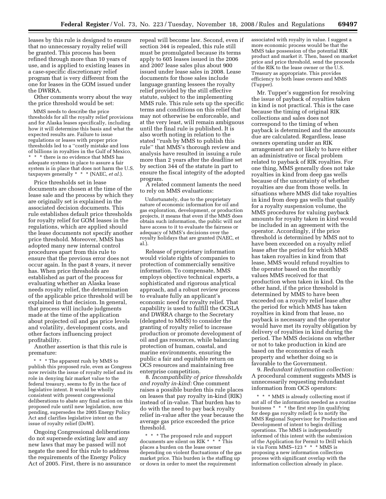leases by this rule is designed to ensure that no unnecessary royalty relief will be granted. This process has been refined through more than 10 years of use, and is applied to existing leases in a case-specific discretionary relief program that is very different from the one for leases in the GOM issued under the DWRRA.

Other comments worry about the way the price threshold would be set:

MMS needs to describe the price thresholds for all the royalty relief provisions and for Alaska leases specifically, including how it will determine this basis and what the expected results are. Failure to issue regulations or leases with proper price thresholds led to a ''costly mistake and loss of billions in royalties in the Gulf of Mexico, \* \* \* there is no evidence that MMS has adequate systems in place to assure a fair system is in place that does not harm the U.S. taxpayers generally \* \* \* (NAEC, *et al.*).

Price thresholds set in lease documents are chosen at the time of the lease sale and the process by which they are originally set is explained in the associated decision documents. This rule establishes default price thresholds for royalty relief for GOM leases in the regulations, which are applied should the lease documents not specify another price threshold. Moreover, MMS has adopted many new internal control procedures apart from this rule to ensure that the previous error does not occur again. In the past 8 years, it never has. When price thresholds are established as part of the process for evaluating whether an Alaska lease needs royalty relief, the determination of the applicable price threshold will be explained in that decision. In general, that process will include judgments made at the time of the application about projected oil and gas price levels and volatility, development costs, and other factors influencing project profitability.

Another assertion is that this rule is premature:

\* \* \* The apparent rush by MMS to publish this proposed rule, even as Congress now revisits the issue of royalty relief and its role in denying fair market value to the federal treasury, seems to fly in the face of legislative intent. It would be wholly consistent with present congressional deliberations to abate any final action on this proposed rule until new legislation, now pending, supersedes the 2005 Energy Policy Act and clarifies legislative intent on the issue of royalty relief (DoW).

Ongoing Congressional deliberations do not supersede existing law and any new laws that may be passed will not negate the need for this rule to address the requirements of the Energy Policy Act of 2005. First, there is no assurance repeal will become law. Second, even if section 344 is repealed, this rule still must be promulgated because its terms apply to 605 leases issued in the 2006 and 2007 lease sales plus about 900 issued under lease sales in 2008. Lease documents for those sales include language granting lessees the royalty relief provided by the still effective statute, subject to the implementing MMS rule. This rule sets up the specific terms and conditions on this relief that may not otherwise be enforceable, and at the very least, will remain ambiguous until the final rule is published. It is also worth noting in relation to the stated ''rush by MMS to publish this rule'' that MMS's thorough review and analysis have resulted in issuing a rule more than 2 years after the deadline set by section 344 of the statute in part to ensure the fiscal integrity of the adopted program.

A related comment laments the need to rely on MMS evaluations:

Unfortunately, due to the proprietary nature of economic information for oil and gas exploration, development, or production projects, it means that even if the MMS does obtain such information, the public will not have access to it to evaluate the fairness or adequacy of MMS's decisions over the royalty holidays that are granted (NAEC, et al.).

Release of proprietary information would violate rights of companies to protection of commercially sensitive information. To compensate, MMS employs objective technical experts, a sophisticated and rigorous analytical approach, and a robust review process to evaluate fully an applicant's economic need for royalty relief. That capability is used to fulfill the OCSLA and DWRRA charge to the Secretary (delegated to MMS) to consider the granting of royalty relief to increase production or promote development of oil and gas resources, while balancing protection of human, coastal, and marine environments, ensuring the public a fair and equitable return on OCS resources and maintaining free enterprise competition.

8. *Incompatibility of price thresholds and royalty in-kind:* One comment raises a possible burden this rule places on leases that pay royalty in-kind (RIK) instead of in-value. That burden has to do with the need to pay back royalty relief in-value after the year because the average gas price exceeded the price threshold.

\* \* \* The proposed rule and support documents are silent on RIK \* \* \* This places a burden on the lease owner depending on violent fluctuations of the gas market price. This burden is the staffing up or down in order to meet the requirement

associated with royalty in value. I suggest a more economic process would be that the MMS take possession of the potential RIK product and market it. Then, based on market price and price threshold, send the proceeds of the RIK to the lease owner or the U.S. Treasury as appropriate. This provides efficiency to both lease owners and MMS (Tupper).

Mr. Tupper's suggestion for resolving the issue of payback of royalties taken in kind is not practical. This is the case because the timing of original RIK collections and sales does not correspond to the timing of when payback is determined and the amounts due are calculated. Regardless, lease owners operating under an RIK arrangement are not likely to have either an administrative or fiscal problem related to payback of RIK royalties. For one thing, MMS generally does not take royalties in kind from deep gas wells because of the uncertainty of whether royalties are due from those wells. In situations where MMS did take royalties in kind from deep gas wells that qualify for a royalty suspension volume, the MMS procedures for valuing payback amounts for royalty taken in kind would be included in an agreement with the operator. Accordingly, if the price threshold is determined by MMS not to have been exceeded on a royalty relief lease after the period for which MMS has taken royalties in kind from that lease, MMS would refund royalties to the operator based on the monthly values MMS received for that production when taken in kind. On the other hand, if the price threshold is determined by MMS to have been exceeded on a royalty relief lease after the period for which MMS has taken royalties in kind from that lease, no payback is necessary and the operator would have met its royalty obligation by delivery of royalties in kind during the period. The MMS decisions on whether or not to take production in kind are based on the economics of each property and whether doing so is favorable to the Government.

9. *Redundant information collection:*  A procedural comment suggests MMS is unnecessarily requesting redundant information from OCS operators:

\* \* \* MMS is already collecting most if not all of the information needed as a routine business \* \* \* the first step [in qualifying for deep gas royalty relief] is to notify the MMS Regional Supervisor for Production and Development of intent to begin drilling operations. The MMS is independently informed of this intent with the submission of the Application for Permit to Drill which is via Form MMS–123 \* \* \* MMS is proposing a new information collection process with significant overlap with the information collection already in place.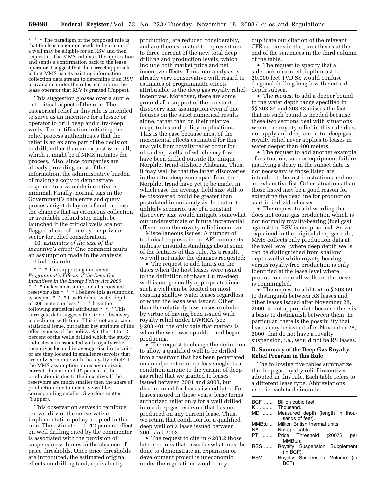\* \* \* The paradigm of the proposed rule is that the lease operator needs to figure out if a well may be eligible for an RSV and then request it. The MMS validates the application and sends a confirmation back to the lease operator. I suggest that the correct approach is that MMS use its existing information collection data stream to determine if an RSV is available under the rules and inform the lease operator that RSV is granted (Tupper).

This suggestion glosses over a subtle but critical aspect of the rule. The categorical relief in this rule is intended to serve as an incentive for a lessee or operator to drill deep and ultra-deep wells. The notification initiating the relief process authenticates that the relief is an ex ante part of the decision to drill, rather than an ex post windfall, which it might be if MMS initiates the process. Also, since companies are already providing most of this information, the administrative burden of making a copy to demonstrate response to a valuable incentive is minimal. Finally, normal lags in the Government's data entry and query process might delay relief and increase the chances that an erroneous collection or avoidable refund step might be launched if the critical wells are not flagged ahead of time by the private sector for relief consideration.

10. *Estimates of the size of the incentive's effect:* One comment faults an assumption made in the analysis behind this rule:

\* \* \* The supporting document *Programmatic Effects of the Deep Gas Incentives in the Energy Policy Act 2005*  \* \* \* makes an assumption of a constant reservoir size \* \* \* I believe this assumption is suspect \* \* \* Gas Fields in water depth of 200 meters or less \* \* \* have the following statistical attributes: \* \* \* This surrogate data suggests the size of discovery is declining with time. This is not an arcane statistical issue, but rather key attribute of the effectiveness of the policy. Are the 10 to 12 percent of the wells drilled which the study indicates are associated with royalty relief incentives located in average sized reservoirs or are they located in smaller reservoirs that are only economic with the royalty relief? If the MMS assumption on reservoir size is correct, then around 10 percent of the production is due to the incentive. If the reservoirs are much smaller then the share of production due to incentive will be corresponding smaller. Size does matter (Tupper).

This observation serves to reinforce the validity of the conservative implementation policy adopted in this rule. The estimated 10–12 percent effect on well drilling cited by the commenter is associated with the provision of suspension volumes in the absence of price thresholds. Once price thresholds are introduced, the estimated original effects on drilling (and, equivalently,

production) are reduced considerably, and are then estimated to represent one to three percent of the new total deep drilling and production levels, which include both market price and net incentive effects. Thus, our analysis is already very conservative with regard to estimates of programmatic effects attributable to the deep gas royalty relief incentives. Moreover, there are some grounds for support of the constant discovery size assumption even if one focuses on the strict numerical results alone, rather than on their relative magnitudes and policy implications. This is the case because most of the incremental effects estimated for this analysis from royalty relief occur for ultra-deep wells, of which very few have been drilled outside the unique Norphlet trend offshore Alabama. Thus, it may well be that the larger discoveries in the ultra-deep zone apart from the Norphlet trend have yet to be made, in which case the average field size still to be discovered could be greater than postulated in our analysis. In that not unlikely scenario, use of a constant discovery size would mitigate somewhat our underestimate of future incremental effects from the royalty relief incentive.

Miscellaneous issues: A number of technical requests in the API comments indicate misunderstandings about some of the features of this rule. As a result, we will not make the changes requested:

• The request to add limits on the dates when the host leases were issued to the definition of phase 1 ultra-deep well is not generally appropriate since such a well can be located on most existing shallow water leases regardless of when the lease was issued. Other than the relatively few leases excluded by virtue of having been issued with royalty relief under DWRRA (see § 203.40), the only date that matters is when the well was spudded and began producing.

• The request to change the definition to allow a qualified well to be drilled into a reservoir that has been penetrated on an adjacent or other lease neglects a condition unique to the variant of deep gas relief that we granted to leases issued between 2001 and 2003, but discontinued for leases issued later. For leases issued in those years, lease terms authorized relief only for a well drilled into a deep gas reservoir that has not produced on any current lease. Thus, we retain that condition for a qualified deep well on a lease issued between 2001 and 2003.

• The request to cite in §203.2 those later sections that describe what must be done to demonstrate an expansion or development project is uneconomic under the regulations would only

duplicate our citation of the relevant CFR sections in the parentheses at the end of the sentences in the third column of the table.

• The request to specify that a sidetrack measured depth must be 20,000 feet TVD SS would confuse diagonal drilling length with vertical depth subsea.

• The request to add a deeper bound to the water depth range specified in §§ 203.34 and 203.43 misses the fact that no such bound is needed because these two sections deal with situations where the royalty relief in this rule does not apply and deep and ultra-deep gas royalty relief never applies to leases in water deeper than 400 meters.

• The request to add another example of a situation, such as equipment failure justifying a delay in the sunset date is not necessary as those listed are intended to be just illustrations and not an exhaustive list. Other situations than those listed may be a good reason for extending the deadline for production start in individual cases.

• The request to add wording that does not count gas production which is not normally royalty-bearing (fuel gas) against the RSV is not practical. As we explained in the original deep gas rule, MMS collects only production data at the well level (where deep depth wells can be distinguished from shallow depth wells) while royalty-bearing versus royalty-free production is only identified at the lease level where production from all wells on the lease is commingled.

• The request to add text to § 203.69 to distinguish between RS leases and other leases issued after November 28, 2000, is not appropriate because there is a basis to distinguish between them. In particular, there is the possibility that leases may be issued after November 28, 2000, that do not have a royalty suspension, i.e., would not be RS leases.

# **D. Summary of the Deep Gas Royalty Relief Program in this Rule**

The following five tables summarize the deep gas royalty relief incentives adopted in this rule. Each table refers to a different lease type. Abbreviations used in each table include:

| BCF<br>K | Billion cubic feet.<br>Thousand.  |
|----------|-----------------------------------|
| MD       | Measured depth (length in thou-   |
|          | sands of feet).                   |
| MMBtu    | Million British thermal units.    |
| NA       | Not applicable.                   |
| PT       | Price Threshold<br>(2007\$<br>per |
|          | MMBtu).                           |
| RSS      | Royalty Suspension Supplement     |
|          | (in BCF).                         |
| RSV      | Royalty Suspension Volume (in     |
|          | BCF).                             |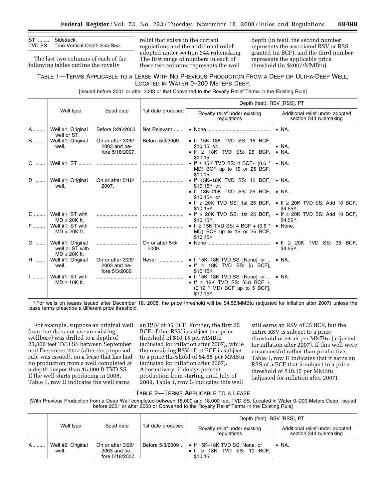| ST  Sidetrack.<br>TVD SS True Vertical Depth Sub-Sea. |
|-------------------------------------------------------|

The last two columns of each of the following tables outline the royalty

relief that exists in the current regulations and the additional relief adopted under section 344 rulemaking. The first range of numbers in each of these two columns represents the well

depth (in feet), the second number represents the associated RSV or RSS granted (in BCF), and the third number represents the applicable price threshold (in \$2007/MMBtu).

# TABLE 1—TERMS APPLICABLE TO A LEASE WITH NO PREVIOUS PRODUCTION FROM A DEEP OR ULTRA-DEEP WELL, LOCATED IN WATER 0–200 METERS DEEP,

[Issued before 2001 or after 2003 or that Converted to the Royalty Relief Terms in the Existing Rule]

|          |                                                                             |                                                      |                           | Depth (feet): RSV [RSS], PT                                                                                                                                 |                                                                                       |  |
|----------|-----------------------------------------------------------------------------|------------------------------------------------------|---------------------------|-------------------------------------------------------------------------------------------------------------------------------------------------------------|---------------------------------------------------------------------------------------|--|
|          | Well type                                                                   | Spud date                                            | 1st date produced         | Royalty relief under existing<br>regulations                                                                                                                | Additional relief under adopted<br>section 344 rulemaking                             |  |
| A        | Well #1: Original<br>well or ST.                                            | Before 3/26/2003                                     | Not Relevant              |                                                                                                                                                             | $\bullet$ NA.                                                                         |  |
| <b>B</b> | Well #1: Original<br>well.                                                  | On or after 3/26/<br>2003 and be-<br>fore 5/18/2007. | Before 5/3/2009           | • If 15K-18K TVD SS: 15 BCF,<br>\$10.15, or.<br>$\bullet$ If $\geq$ 18K TVD SS: 25 BCF.<br>\$10.15.                                                         | $\bullet$ NA.<br>$\bullet$ NA.                                                        |  |
| C        | Well #1: ST                                                                 |                                                      |                           | • If $\geq$ 15K TVD SS: 4 BCF+ (0.6 $*$<br>MD) BCF up to 15 or 25 BCF,<br>\$10.15.                                                                          | $\bullet$ NA.                                                                         |  |
| D        | Well #1: Original<br>well.                                                  | On or after 5/18/<br>2007.                           |                           | • If 15K-18K TVD SS: 15 BCF,<br>\$10.15 $a$ , or.<br>• If 18K-20K TVD SS: 25 BCF,<br>\$10.15 $a$ , or<br>• If $\geq$ 20K TVD SS: 1st 25 BCF,<br>$$10.15a$ . | $\bullet$ NA.<br>$\bullet$ NA.<br>• If $\geq$ 20K TVD SS: Add 10 BCF,<br>\$4.55 $a$ . |  |
| E<br>F   | Well #1: ST with<br>$MD \geq 20K$ ft.<br>Well #1: ST with<br>$MD < 20K$ ft. |                                                      |                           | $\bullet$ If $\geq$ 20K TVD SS: 1st 25 BCF,<br>$$10.15a$ .<br>• If $\geq$ 15K TVD SS: 4 BCF + (0.6 $*$<br>MD) BCF up to 15 or 25 BCF,<br>$$10.15a$ .        | • If $\geq$ 20K TVD SS: Add 10 BCF,<br>$$4.55a$ .<br>• None.                          |  |
| G        | Well #1: Original<br>well or ST with<br>$MD \geq 20K$ ft.                   |                                                      | On or after 5/3/<br>2009. | • None $\ldots$ $\ldots$ $\ldots$ $\ldots$ $\ldots$ $\ldots$ $\ldots$                                                                                       | $\bullet$ If $\geq$ 20K TVD SS: 35 BCF.<br>$$4.55a$ .                                 |  |
| $H$      | Well #1: Original<br>well.                                                  | On or after 3/26/<br>2003 and be-<br>fore 5/3/2009.  | Never                     | • If 15K-18K TVD SS: [None], or<br>• If $\geq$ 18K TVD SS: [5 BCF],<br>$$10.15a$ .                                                                          | $\bullet$ NA.                                                                         |  |
| $1$      | Well #1: ST with<br>$MD \geq 10K$ ft.                                       |                                                      |                           | • If 15K-18K TVD SS: [None], or<br>• If $\geq$ 18K TVD SS: [0.8 BCF +<br>$(0.12 * MD)$ BCF up to 5 BCF],<br>$$10.15a$ .                                     | $\bullet$ NA.                                                                         |  |

a For wells on leases issued after December 18, 2008, the price threshold will be \$4.55/MMBtu (adjusted for inflation after 2007) unless the lease terms prescribe a different price threshold.

For example, suppose an original well (one that does not use an existing wellbore) was drilled to a depth of 23,000 feet TVD SS between September and December 2007 (after the proposed rule was issued), on a lease that has had no production from a well completed at a depth deeper than 15,000 ft TVD SS. If the well starts producing in 2008, Table 1, row D indicates the well earns

an RSV of 35 BCF. Further, the first 25 BCF of that RSV is subject to a price threshold of \$10.15 per MMBtu (adjusted for inflation after 2007), while the remaining RSV of 10 BCF is subject to a price threshold of \$4.55 per MMBtu (adjusted for inflation after 2007). Alternatively, if delays prevent production from starting until July of 2009, Table 1, row G indicates this well

still earns an RSV of 35 BCF, but the entire RSV is subject to a price threshold of \$4.55 per MMBtu (adjusted for inflation after 2007). If this well were unsuccessful rather than productive, Table 1, row H indicates that it earns an RSS of 5 BCF that is subject to a price threshold of \$10.15 per MMBtu (adjusted for inflation after 2007).

#### TABLE 2—TERMS APPLICABLE TO A LEASE

[With Previous Production from a Deep Well completed between 15,000 and 18,000 feet TVD SS, Located in Water 0–200 Meters Deep, Issued before 2001 or after 2003 or Converted to the Royalty Relief Terms in the Existing Rule]

|   |                            |                                                        |                   | Depth (feet): RSV [RSS], PT                                                          |                                                           |  |
|---|----------------------------|--------------------------------------------------------|-------------------|--------------------------------------------------------------------------------------|-----------------------------------------------------------|--|
|   | Well type                  | Spud date                                              | 1st date produced | Royalty relief under existing<br>regulations                                         | Additional relief under adopted<br>section 344 rulemaking |  |
| A | Well #2: Original<br>well. | On or after 3/26/<br>$2003$ and be-<br>fore 5/18/2007. | Before 5/3/2009   | • If 15K-18K TVD SS: None, or<br>$\bullet$ If $\geq$ 18K TVD SS: 10 BCF,<br>\$10.15. | $\bullet$ NA.                                             |  |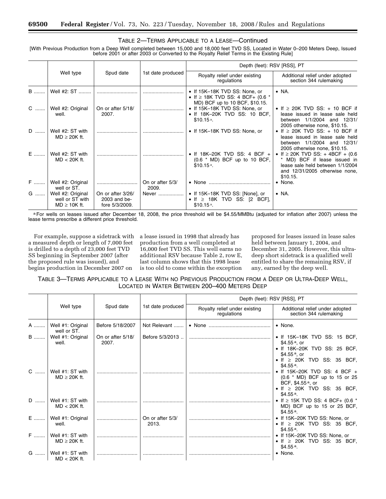# TABLE 2—TERMS APPLICABLE TO A LEASE—Continued

[With Previous Production from a Deep Well completed between 15,000 and 18,000 feet TVD SS, Located in Water 0–200 Meters Deep, Issued before 2001 or after 2003 or Converted to the Royalty Relief Terms in the Existing Rule]

|            |                                                           |                                                     |                           | Depth (feet): RSV [RSS], PT                                                                                    |                                                                                                                                                          |
|------------|-----------------------------------------------------------|-----------------------------------------------------|---------------------------|----------------------------------------------------------------------------------------------------------------|----------------------------------------------------------------------------------------------------------------------------------------------------------|
|            | Well type                                                 | Spud date                                           | 1st date produced         | Royalty relief under existing<br>regulations                                                                   | Additional relief under adopted<br>section 344 rulemaking                                                                                                |
| <b>B</b>   | Well #2: ST                                               |                                                     |                           | • If 15K-18K TVD SS: None, or<br>• If $\geq$ 18K TVD SS: 4 BCF+ (0.6 $*$                                       | $\bullet$ NA.                                                                                                                                            |
| C  1       | Well #2: Original<br>well.                                | On or after 5/18/<br>2007.                          |                           | MD) BCF up to 10 BCF, \$10.15.<br>• If 15K-18K TVD SS: None, or<br>• If 18K-20K TVD SS: 10 BCF,<br>$$10.15a$ . | • If $\geq$ 20K TVD SS: + 10 BCF if<br>lease issued in lease sale held<br>between 1/1/2004 and 12/31/<br>2005 otherwise none, \$10.15.                   |
| D          | Well #2: ST with<br>$MD \geq 20K$ ft.                     |                                                     |                           | • If 15K-18K TVD SS: None, or                                                                                  | • If $\geq$ 20K TVD SS: + 10 BCF if<br>lease issued in lease sale held<br>between 1/1/2004 and 12/31/<br>2005 otherwise none, \$10.15.                   |
| E          | Well #2: ST with<br>$MD < 20K$ ft.                        |                                                     |                           | • If 18K-20K TVD SS: 4 BCF $+$<br>$(0.6 * MD)$ BCF up to 10 BCF,<br>$$10.15a$ .                                | • If $\geq$ 20K TVD SS: + 4BCF + (0.6)<br>* MD) BCF if lease issued in<br>lease sale held between 1/1/2004<br>and 12/31/2005 otherwise none,<br>\$10.15. |
| <b>F</b> 1 | Well #2: Original<br>well or ST.                          |                                                     | On or after 5/3/<br>2009. |                                                                                                                | • None.                                                                                                                                                  |
| G          | Well #2: Original<br>well or ST with<br>$MD \geq 10K$ ft. | On or after 3/26/<br>2003 and be-<br>fore 5/3/2009. | Never                     | • If 15K-18K TVD SS: [None], or<br>• If $\geq$ 18K TVD SS: [2 BCF],<br>$$10.15a$ .                             | $\bullet$ NA.                                                                                                                                            |

a For wells on leases issued after December 18, 2008, the price threshold will be \$4.55/MMBtu (adjusted for inflation after 2007) unless the lease terms prescribe a different price threshold.

For example, suppose a sidetrack with a measured depth or length of 7,000 feet is drilled to a depth of 23,000 feet TVD SS beginning in September 2007 (after the proposed rule was issued), and begins production in December 2007 on

a lease issued in 1998 that already has production from a well completed at 16,000 feet TVD SS. This well earns no additional RSV because Table 2, row E, last column shows that this 1998 lease is too old to come within the exception

proposed for leases issued in lease sales held between January 1, 2004, and December 31, 2005. However, this ultradeep short sidetrack is a qualified well entitled to share the remaining RSV, if any, earned by the deep well.

TABLE 3—TERMS APPLICABLE TO A LEASE WITH NO PREVIOUS PRODUCTION FROM A DEEP OR ULTRA-DEEP WELL, LOCATED IN WATER BETWEEN 200–400 METERS DEEP

|             |                                       |                            |                           | Depth (feet): RSV [RSS], PT                  |                                                                                                                                                                                                      |  |  |
|-------------|---------------------------------------|----------------------------|---------------------------|----------------------------------------------|------------------------------------------------------------------------------------------------------------------------------------------------------------------------------------------------------|--|--|
|             | Well type                             | Spud date                  | 1st date produced         | Royalty relief under existing<br>regulations | Additional relief under adopted<br>section 344 rulemaking                                                                                                                                            |  |  |
| A           | Well #1: Original<br>well or ST.      | Before 5/18/2007           | Not Relevant              | • None                                       | • None.                                                                                                                                                                                              |  |  |
| $\mathsf B$ | Well #1: Original<br>well.            | On or after 5/18/<br>2007. | Before 5/3/2013.          |                                              | $\bullet$ If 15K-18K TVD SS: 15 BCF,<br>\$4.55 $a$ , or<br>• If 18K-20K TVD SS: 25 BCF,<br>\$4.55 $a$ , or                                                                                           |  |  |
| C           | Well #1: ST with<br>$MD \geq 20K$ ft. |                            |                           |                                              | $\bullet$ If $\geq$ 20K TVD SS: 35 BCF,<br>$$4.55a$ .<br>• If 15K-20K TVD SS: 4 BCF $+$<br>(0.6 * MD) BCF up to 15 or 25<br>BCF, \$4.55 <sup>a</sup> , or<br>$\bullet$ If $\geq$ 20K TVD SS: 35 BCF, |  |  |
| D           | Well #1: ST with<br>$MD < 20K$ ft.    |                            |                           |                                              | \$4.55 <sup>a</sup><br>• If $\geq$ 15K TVD SS: 4 BCF+ (0.6 $*$<br>MD) BCF up to 15 or 25 BCF,<br>$$4.55a$ .                                                                                          |  |  |
| E           | Well #1: Original<br>well.            |                            | On or after 5/3/<br>2013. |                                              | • If 15K-20K TVD SS: None, or<br>$\bullet$ If $\geq$ 20K TVD SS: 35 BCF,<br>$$4.55a$ .                                                                                                               |  |  |
| F           | Well #1: ST with<br>$MD \geq 20K$ ft. |                            |                           |                                              | • If 15K-20K TVD SS: None, or<br>$\bullet$ If $\geq$ 20K TVD SS: 35 BCF,<br>$$4.55a$ .                                                                                                               |  |  |
| G           | Well #1: ST with<br>$MD < 20K$ ft.    |                            |                           |                                              | $\bullet$ None.                                                                                                                                                                                      |  |  |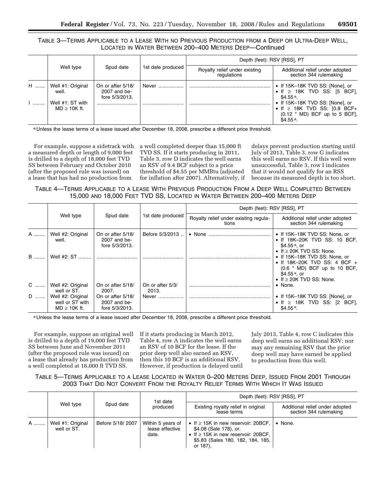# TABLE 3—TERMS APPLICABLE TO A LEASE WITH NO PREVIOUS PRODUCTION FROM A DEEP OR ULTRA-DEEP WELL, LOCATED IN WATER BETWEEN 200–400 METERS DEEP—Continued

|   |                                                                     |                                                            |                   | Depth (feet): RSV [RSS], PT                  |                                                                                                                                                                                                     |  |
|---|---------------------------------------------------------------------|------------------------------------------------------------|-------------------|----------------------------------------------|-----------------------------------------------------------------------------------------------------------------------------------------------------------------------------------------------------|--|
|   | Well type                                                           | Spud date                                                  | 1st date produced | Royalty relief under existing<br>regulations | Additional relief under adopted<br>section 344 rulemaking                                                                                                                                           |  |
| H | Well #1: Original<br>well.<br>Well #1: ST with<br>$MD \geq 10K$ ft. | On or after 5/18/<br>2007 and be-<br>fore $5/3/2013$ .<br> | Never             |                                              | • If 15K-18K TVD SS: [None], or<br>$\bullet$ If $\geq$ 18K TVD SS: [5 BCF],<br>$$4.55a$ .<br>• If 15K-18K TVD SS: [None], or<br>• If $\geq$ 18K TVD SS: [0.8 BCF+<br>$(0.12 * MD)$ BCF up to 5 BCF, |  |
|   |                                                                     |                                                            |                   |                                              | $$4.55a$ .                                                                                                                                                                                          |  |

a Unless the lease terms of a lease issued after December 18, 2008, prescribe a different price threshold.

For example, suppose a sidetrack with a measured depth or length of 9,000 feet is drilled to a depth of 18,000 feet TVD SS between February and October 2010 (after the proposed rule was issued) on a lease that has had no production from

a well completed deeper than 15,000 ft TVD SS. If it starts producing in 2011, Table 3, row D indicates the well earns an RSV of 9.4 BCF subject to a price threshold of \$4.55 per MMBtu (adjusted for inflation after 2007). Alternatively, if

delays prevent production starting until July of 2013, Table 3, row G indicates this well earns no RSV. If this well were unsuccessful, Table 3, row I indicates that it would not qualify for an RSS because its measured depth is too short.

TABLE 4—TERMS APPLICABLE TO A LEASE WITH PREVIOUS PRODUCTION FROM A DEEP WELL COMPLETED BETWEEN 15,000 AND 18,000 FEET TVD SS, LOCATED IN WATER BETWEEN 200–400 METERS DEEP

|     |                                                           |                                                     |                           | Depth (feet): RSV [RSS], PT                    |                                                                                                                                                               |  |  |
|-----|-----------------------------------------------------------|-----------------------------------------------------|---------------------------|------------------------------------------------|---------------------------------------------------------------------------------------------------------------------------------------------------------------|--|--|
|     | Well type                                                 | Spud date                                           | 1st date produced         | Royalty relief under existing regula-<br>tions | Additional relief under adopted<br>section 344 rulemaking                                                                                                     |  |  |
| A   | Well #2: Original<br>well.                                | On or after 5/18/<br>2007 and be-<br>fore 5/3/2013. | Before 5/3/2013           |                                                | • If 15K-18K TVD SS: None, or<br>• If 18K-20K TVD SS: 10 BCF,<br>\$4.55 $a$ , or<br>$\bullet$ If $\geq$ 20K TVD SS: None.                                     |  |  |
| $B$ | Well #2: ST                                               |                                                     |                           |                                                | • If 15K-18K TVD SS: None, or<br>• If 18K-20K TVD SS: 4 BCF $+$<br>$(0.6 * MD)$ BCF up to 10 BCF,<br>\$4.55 $a$ , or<br>$\bullet$ If $\geq$ 20K TVD SS: None. |  |  |
| C   | Well #2: Original<br>well or ST.                          | On or after 5/18/<br>2007.                          | On or after 5/3/<br>2013. |                                                | $\bullet$ None.                                                                                                                                               |  |  |
| D   | Well #2: Original<br>well or ST with<br>$MD \geq 10K$ ft. | On or after 5/18/<br>2007 and be-<br>fore 5/3/2013. | Never                     |                                                | • If 15K-18K TVD SS: [None], or<br>$\bullet$ If $\geq$ 18K TVD SS: [2 BCF],<br>$$4.55a$ .                                                                     |  |  |

a Unless the lease terms of a lease issued after December 18, 2008, prescribe a different price threshold.

For example, suppose an original well is drilled to a depth of 19,000 feet TVD SS between June and November 2011 (after the proposed rule was issued) on a lease that already has production from a well completed at 16,000 ft TVD SS.

If it starts producing in March 2012, Table 4, row A indicates the well earns an RSV of 10 BCF for the lease. If the prior deep well also earned an RSV, then this 10 BCF is an additional RSV. However, if production is delayed until July 2013, Table 4, row C indicates this deep well earns no additional RSV; nor may any remaining RSV that the prior deep well may have earned be applied to production from this well.

TABLE 5—TERMS APPLICABLE TO A LEASE LOCATED IN WATER 0–200 METERS DEEP, ISSUED FROM 2001 THROUGH 2003 THAT DID NOT CONVERT FROM THE ROYALTY RELIEF TERMS WITH WHICH IT WAS ISSUED

|   |                                  |                  | 1st date                                      | Depth (feet): RSV [RSS], PT                                                                                                                                     |                                                           |  |
|---|----------------------------------|------------------|-----------------------------------------------|-----------------------------------------------------------------------------------------------------------------------------------------------------------------|-----------------------------------------------------------|--|
|   | Well type                        | Spud date        | produced                                      | Existing royalty relief in original<br>lease terms                                                                                                              | Additional relief under adopted<br>section 344 rulemaking |  |
| A | Well #1: Original<br>well or ST. | Before 5/18/2007 | Within 5 years of<br>lease effective<br>date. | • If $\geq$ 15K in new reservoir: 20BCF,<br>\$4.08 (Sale 178), or.<br>• If $\geq$ 15K in new reservoir: 20BCF,<br>\$5.83 (Sales 180, 182, 184, 185,<br>or 187). | $\bullet$ None.                                           |  |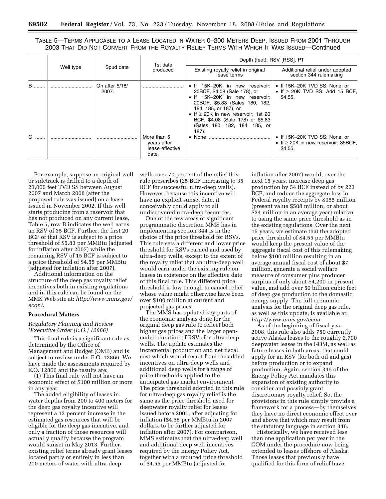TABLE 5—TERMS APPLICABLE TO A LEASE LOCATED IN WATER 0–200 METERS DEEP, ISSUED FROM 2001 THROUGH 2003 THAT DID NOT CONVERT FROM THE ROYALTY RELIEF TERMS WITH WHICH IT WAS ISSUED—Continued

|   |           |                         | 1st date                                               | Depth (feet): RSV [RSS], PT                                                                                                                                                                                                                                                           |                                                                                      |  |
|---|-----------|-------------------------|--------------------------------------------------------|---------------------------------------------------------------------------------------------------------------------------------------------------------------------------------------------------------------------------------------------------------------------------------------|--------------------------------------------------------------------------------------|--|
|   | Well type | Spud date               | produced                                               | Existing royalty relief in original<br>lease terms                                                                                                                                                                                                                                    | Additional relief under adopted<br>section 344 rulemaking                            |  |
| B |           | On after 5/18/<br>2007. |                                                        | • If 15K-20K in new reservoir:<br>20BCF, \$4.08 (Sale 178), or<br>. If 15K-20K in new reservoir:<br>20BCF, \$5.83 (Sales 180, 182,<br>184, 185, or 187), or<br>• If $\geq$ 20K in new reservoir: 1st 20<br>BCF, \$4.08 (Sale 178) or \$5.83<br>(Sales 180, 182, 184, 185, or<br>187). | • If 15K-20K TVD SS: None, or<br>• If $\geq$ 20K TVD SS: Add 15 BCF,<br>\$4.55.      |  |
| C |           |                         | More than 5<br>years after<br>lease effective<br>date. |                                                                                                                                                                                                                                                                                       | • If 15K-20K TVD SS: None, or<br>• If $\geq$ 20K in new reservoir: 35BCF,<br>\$4.55. |  |

For example, suppose an original well or sidetrack is drilled to a depth of 23,000 feet TVD SS between August 2007 and March 2008 (after the proposed rule was issued) on a lease issued in November 2002. If this well starts producing from a reservoir that has not produced on any current lease, Table 5, row B indicates the well earns an RSV of 35 BCF. Further, the first 20 BCF of that RSV is subject to a price threshold of \$5.83 per MMBtu (adjusted for inflation after 2007) while the remaining RSV of 15 BCF is subject to a price threshold of \$4.55 per MMBtu (adjusted for inflation after 2007).

Additional information on the structure of the deep gas royalty relief incentives both in existing regulations and in this rule can be found on the MMS Web site at: *[http://www.mms.gov/](http://www.mms.gov/econ/)  econ/*.

#### **Procedural Matters**

*Regulatory Planning and Review (Executive Order (E.O.) 12866)* 

This final rule is a significant rule as determined by the Office of Management and Budget (OMB) and is subject to review under E.O. 12866. We have made the assessments required by E.O. 12866 and the results are:

(1) This final rule will not have an economic effect of \$100 million or more in any year.

The added eligibility of leases in water depths from 200 to 400 meters for the deep gas royalty incentive will represent a 12 percent increase in the estimated gas resources that will be eligible for the deep gas incentive, and only a fraction of those resources will actually qualify because the program would sunset in May 2013. Further, existing relief terms already grant leases located partly or entirely in less than 200 meters of water with ultra-deep

wells over 70 percent of the relief this rule prescribes (25 BCF increasing to 35 BCF for successful ultra-deep wells). However, because this incentive will have no explicit sunset date, it conceivably could apply to all undiscovered ultra-deep resources.

One of the few areas of significant programmatic discretion MMS has in implementing section 344 is in the choice of the price threshold for RSVs. This rule sets a different and lower price threshold for RSVs earned and used by ultra-deep wells, except to the extent of the royalty relief that an ultra-deep well would earn under the existing rule on leases in existence on the effective date of this final rule. This different price threshold is low enough to cancel relief whose value might otherwise have been over \$100 million at current and projected gas prices.

The MMS has updated key parts of the economic analysis done for the original deep gas rule to reflect both higher gas prices and the larger openended duration of RSVs for ultra-deep wells. The update estimates the incremental production and net fiscal cost which would result from the added incentives on ultra-deep wells and additional deep wells for a range of price thresholds applied to the anticipated gas market environment. The price threshold adopted in this rule for ultra-deep gas royalty relief is the same as the price threshold used for deepwater royalty relief for leases issued before 2001, after adjusting for inflation (\$4.55 per MMBtu in 2007 dollars, to be further adjusted for inflation after 2007). For comparison, MMS estimates that the ultra-deep well and additional deep well incentives required by the Energy Policy Act, together with a reduced price threshold of \$4.55 per MMBtu (adjusted for

inflation after 2007) would, over the next 15 years, increase deep gas production by 54 BCF instead of by 223 BCF, and reduce the aggregate loss in Federal royalty receipts by \$955 million (present value \$508 million, or about \$34 million in an average year) relative to using the same price threshold as in the existing regulations. Over the next 15 years, we estimate that the adopted price threshold of \$4.55 per MMBtu would keep the present value of the aggregate fiscal cost of this rulemaking below \$100 million resulting in an average annual fiscal cost of about \$7 million, generate a social welfare measure of consumer plus producer surplus of only about \$4,200 in present value, and add over 50 billion cubic feet of deep gas production to the domestic energy supply. The full economic analysis for the original deep gas rule, as well as this update, is available at: *<http://www.mms.gov/econ>*.

As of the beginning of fiscal year 2008, this rule also adds 750 currently active Alaska leases to the roughly 2,700 deepwater leases in the GOM, as well as future leases in both areas, that could apply for an RSV (for both oil and gas) before production or to expand production. Again, section 346 of the Energy Policy Act mandates this expansion of existing authority to consider and possibly grant discretionary royalty relief. So, the provisions in this rule simply provide a framework for a process—by themselves they have no direct economic effect over and above that which may result from the statutory language in section 346.

Historically, we have received less than one application per year in the GOM under the procedure now being extended to leases offshore of Alaska. Those leases that previously have qualified for this form of relief have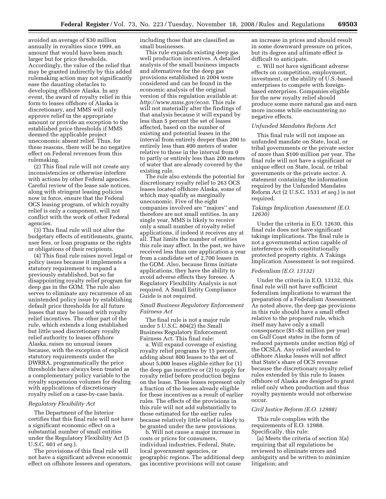avoided an average of \$30 million annually in royalties since 1999, an amount that would have been much larger but for price thresholds. Accordingly, the value of the relief that may be granted indirectly by this added rulemaking action may not significantly ease the daunting obstacles to developing offshore Alaska. In any event, the award of royalty relief in this form to leases offshore of Alaska is discretionary, and MMS will only approve relief in the appropriate amount or provide an exception to the established price thresholds if MMS deemed the applicable project uneconomic absent relief. Thus, for these reasons, there will be no negative effect on Federal revenues from this rulemaking.

(2) This final rule will not create any inconsistencies or otherwise interfere with actions by other Federal agencies. Careful review of the lease sale notices, along with stringent leasing policies now in force, ensure that the Federal OCS leasing program, of which royalty relief is only a component, will not conflict with the work of other Federal agencies.

(3) This final rule will not alter the budgetary effects of entitlements, grants, user fees, or loan programs or the rights or obligations of their recipients.

(4) This final rule raises novel legal or policy issues because it implements a statutory requirement to expand a previously established, but so far disappointing royalty relief program for deep gas in the GOM. The rule also serves to eliminate any recurrence of an unintended policy issue by establishing default price thresholds for all future leases that may be issued with royalty relief incentives. The other part of the rule, which extends a long established but little used discretionary royalty relief authority to leases offshore Alaska, raises no unusual issues because, with the exception of explicit statutory requirements under the DWRRA, programmatically the price thresholds have always been treated as a complementary policy variable to the royalty suspension volumes for dealing with applications of discretionary royalty relief on a case-by-case basis.

#### *Regulatory Flexibility Act*

The Department of the Interior certifies that this final rule will not have a significant economic effect on a substantial number of small entities under the Regulatory Flexibility Act (5 U.S.C. 601 *et seq.*).

The provisions of this final rule will not have a significant adverse economic effect on offshore lessees and operators,

including those that are classified as small businesses.

This rule expands existing deep gas well production incentives. A detailed analysis of the small business impacts and alternatives for the deep gas provisions established in 2004 were considered and can be found in the economic analysis of the original version of this regulation available at: *<http://www.mms.gov/econ>*. This rule will not materially alter the findings of that analysis because it will expand by less than 5 percent the set of leases affected, based on the number of existing and potential leases in the interval from entirely deeper than 200 to entirely less than 400 meters of water relative to those in the interval from 0 to partly or entirely less than 200 meters of water that are already covered by the existing rule.

The rule also extends the potential for discretionary royalty relief to 263 OCS leases located offshore Alaska, some of which may qualify as marginally uneconomic. Five of the eight companies involved are ''majors'' and therefore are not small entities. In any single year, MMS is likely to receive only a small number of royalty relief applications, if indeed it receives any at all. That limits the number of entities this rule may affect. In the past, we have received less than one application a year from a candidate set of 2,700 leases in the GOM. Also, because firms initiate applications, they have the ability to avoid adverse effects they foresee. A Regulatory Flexibility Analysis is not required. A Small Entity Compliance Guide is not required.

#### *Small Business Regulatory Enforcement Fairness Act*

The final rule is not a major rule under 5 U.S.C. 804(2) the Small Business Regulatory Enforcement Fairness Act. This final rule:

a. Will expand coverage of existing royalty relief programs by 15 percent, adding about 800 leases to the set of about 5,000 leases eligible either for (1) the deep gas incentive or (2) to apply for royalty relief before production begins on the lease. These leases represent only a fraction of the leases already eligible for these incentives as a result of earlier rules. The effects of the provisions in this rule will not add substantially to those estimated for the earlier rules because relatively little relief is likely to be granted under the new provisions.

b. Will not cause a major increase in costs or prices for consumers, individual industries, Federal, State, local government agencies, or geographic regions. The additional deep gas incentive provisions will not cause

an increase in prices and should result in some downward pressure on prices, but its degree and ultimate effect is difficult to anticipate.

c. Will not have significant adverse effects on competition, employment, investment, or the ability of U.S.-based enterprises to compete with foreignbased enterprises. Companies eligible for the new royalty relief should produce some more natural gas and earn more income while encountering no negative effects.

#### *Unfunded Mandates Reform Act*

This final rule will not impose an unfunded mandate on State, local, or tribal governments or the private sector of more than \$100 million per year. The final rule will not have a significant or unique effect on State, local, or tribal governments or the private sector. A statement containing the information required by the Unfunded Mandates Reform Act (2 U.S.C. 1531 *et seq.*) is not required.

#### *Takings Implication Assessment (E.O. 12630)*

Under the criteria in E.O. 12630, this final rule does not have significant takings implications. The final rule is not a governmental action capable of interference with constitutionally protected property rights. A Takings Implication Assessment is not required.

#### *Federalism (E.O. 13132)*

Under the criteria in E.O. 13132, this final rule will not have sufficient federalism implications to warrant the preparation of a Federalism Assessment. As noted above, the deep gas provisions in this rule should have a small effect relative to the proposed rule, which itself may have only a small consequence (\$1–\$2 million per year) on Gulf Coast states in the form of reduced payments under section 8(g) of the OCSLA. Any relief awarded to offshore Alaska leases will not affect that State's share of OCS revenue because the discretionary royalty relief rules extended by this rule to leases offshore of Alaska are designed to grant relief only when production and thus royalty payments would not otherwise occur.

#### *Civil Justice Reform (E.O. 12988)*

This rule complies with the requirements of E.O. 12988. Specifically, this rule:

(a) Meets the criteria of section 3(a) requiring that all regulations be reviewed to eliminate errors and ambiguity and be written to minimize litigation; and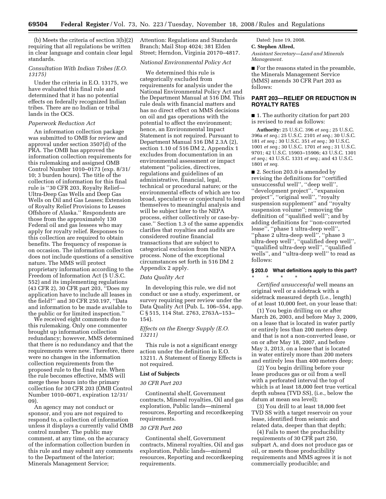(b) Meets the criteria of section 3(b)(2) requiring that all regulations be written in clear language and contain clear legal standards.

# *Consultation With Indian Tribes (E.O. 13175)*

Under the criteria in E.O. 13175, we have evaluated this final rule and determined that it has no potential effects on federally recognized Indian tribes. There are no Indian or tribal lands in the OCS.

#### *Paperwork Reduction Act*

An information collection package was submitted to OMB for review and approval under section 3507(d) of the PRA. The OMB has approved the information collection requirements for this rulemaking and assigned OMB Control Number 1010–0173 (exp. 8/31/ 10; 3 burden hours). The title of the collection of information for this final rule is ''30 CFR 203, Royalty Relief— Ultra-Deep Gas Wells and Deep Gas Wells on Oil and Gas Leases; Extension of Royalty Relief Provisions to Leases Offshore of Alaska.'' Respondents are those from the approximately 130 Federal oil and gas lessees who may apply for royalty relief. Responses to this collection are required to obtain benefits. The frequency of response is on occasion. The information collection does not include questions of a sensitive nature. The MMS will protect proprietary information according to the Freedom of Information Act (5 U.S.C. 552) and its implementing regulations (43 CFR 2), 30 CFR part 203, ''Does my application have to include all leases in the field?'' and 30 CFR 250.197, ''Data and information to be made available to the public or for limited inspection.''

We received eight comments due to this rulemaking. Only one commenter brought up information collection redundancy; however, MMS determined that there is no redundancy and that the requirements were new. Therefore, there were no changes in the information collection requirements from the proposed rule to the final rule. When the rule becomes effective, MMS will merge these hours into the primary collection for 30 CFR 203 (OMB Control Number 1010–0071, expiration 12/31/ 09).

An agency may not conduct or sponsor, and you are not required to respond to, a collection of information unless it displays a currently valid OMB control number. The public may comment, at any time, on the accuracy of the information collection burden in this rule and may submit any comments to the Department of the Interior; Minerals Management Service;

Attention: Regulations and Standards Branch; Mail Stop 4024; 381 Elden Street; Herndon, Virginia 20170–4817.

#### *National Environmental Policy Act*

We determined this rule is categorically excluded from requirements for analysis under the National Environmental Policy Act and the Department Manual at 516 DM. This rule deals with financial matters and has no direct effect on MMS decisions on oil and gas operations with the potential to affect the environment; hence, an Environmental Impact Statement is not required. Pursuant to Department Manual 516 DM 2.3A (2), section 1.10 of 516 DM 2, Appendix 1 excludes from documentation in an environmental assessment or impact statement ''policies, directives, regulations and guidelines of an administrative, financial, legal, technical or procedural nature; or the environmental effects of which are too broad, speculative or conjectural to lend themselves to meaningful analysis and will be subject later to the NEPA process, either collectively or case-bycase.'' Section 1.3 of the same appendix clarifies that royalties and audits are considered routine financial transactions that are subject to categorical exclusion from the NEPA process. None of the exceptional circumstances set forth in 516 DM 2 Appendix 2 apply.

#### *Data Quality Act*

In developing this rule, we did not conduct or use a study, experiment, or survey requiring peer review under the Data Quality Act (Pub. L. 106–554, app. C § 515, 114 Stat. 2763, 2763A–153– 154).

#### *Effects on the Energy Supply (E.O. 13211)*

This rule is not a significant energy action under the definition in E.O. 13211. A Statement of Energy Effects is not required.

# **List of Subjects**

#### *30 CFR Part 203*

Continental shelf, Government contracts, Mineral royalties, Oil and gas exploration, Public lands—mineral resources, Reporting and recordkeeping requirements.

#### *30 CFR Part 260*

Continental shelf, Government contracts, Mineral royalties, Oil and gas exploration, Public lands—mineral resources, Reporting and recordkeeping requirements.

Dated: June 19, 2008. **C. Stephen Allred,**  *Assistant Secretary—Land and Minerals Management.* 

■ For the reasons stated in the preamble, the Minerals Management Service (MMS) amends 30 CFR Part 203 as follows:

# **PART 203—RELIEF OR REDUCTION IN ROYALTY RATES**

■ 1. The authority citation for part 203 is revised to read as follows:

**Authority:** 25 U.S.C. 396 *et seq.*; 25 U.S.C. 396a *et seq.*; 25 U.S.C. 2101 *et seq.*; 30 U.S.C. 181 *et seq.*; 30 U.S.C. 351 *et seq.*; 30 U.S.C. 1001 *et seq.*; 30 U.S.C. 1701 *et seq.*; 31 U.S.C. 9701; 42 U.S.C. 15903–15906; 43 U.S.C. 1301 *et seq.*; 43 U.S.C. 1331 *et seq.*; and 43 U.S.C. 1801 *et seq.* 

■ 2. Section 203.0 is amended by revising the definitions for ''certified unsuccessful well'', ''deep well'', ''development project'', ''expansion project'', ''original well'', ''royalty suspension supplement'' and ''royalty suspension volume''; removing the definition of ''qualified well''; and by adding definitions for ''non-converted lease'', ''phase 1 ultra-deep well'', ''phase 2 ultra-deep well'', ''phase 3 ultra-deep well'', ''qualified deep well'', ''qualified ultra-deep well'', ''qualified wells'', and ''ultra-deep well'' to read as follows:

# **§ 203.0 What definitions apply to this part?**  \* \* \* \* \*

*Certified unsuccessful* well means an original well or a sidetrack with a sidetrack measured depth (i.e., length) of at least 10,000 feet, on your lease that:

(1) You begin drilling on or after March 26, 2003, and before May 3, 2009, on a lease that is located in water partly or entirely less than 200 meters deep and that is not a non-converted lease, or on or after May 18, 2007, and before May 3, 2013, on a lease that is located in water entirely more than 200 meters and entirely less than 400 meters deep;

(2) You begin drilling before your lease produces gas or oil from a well with a perforated interval the top of which is at least 18,000 feet true vertical depth subsea (TVD SS), (i.e., below the datum at mean sea level);

(3) You drill to at least 18,000 feet TVD SS with a target reservoir on your lease, identified from seismic and related data, deeper than that depth;

(4) Fails to meet the producibility requirements of 30 CFR part 250, subpart A, and does not produce gas or oil, or meets those producibility requirements and MMS agrees it is not commercially producible; and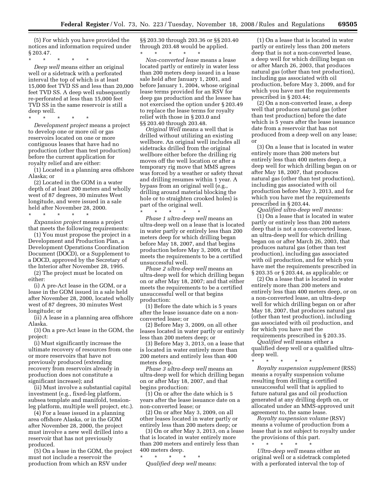(5) For which you have provided the notices and information required under § 203.47.

\* \* \* \* \* *Deep well* means either an original well or a sidetrack with a perforated interval the top of which is at least 15,000 feet TVD SS and less than 20,000 feet TVD SS. A deep well subsequently re-perforated at less than 15,000 feet TVD SS in the same reservoir is still a deep well.

\* \* \* \* \*

*Development project* means a project to develop one or more oil or gas reservoirs located on one or more contiguous leases that have had no production (other than test production) before the current application for royalty relief and are either:

(1) Located in a planning area offshore Alaska; or

(2) Located in the GOM in a water depth of at least 200 meters and wholly west of 87 degrees, 30 minutes West longitude, and were issued in a sale held after November 28, 2000.

\* \* \* \* \* *Expansion project* means a project that meets the following requirements:

(1) You must propose the project in a Development and Production Plan, a Development Operations Coordination Document (DOCD), or a Supplement to a DOCD, approved by the Secretary of the Interior after November 28, 1995.

(2) The project must be located on either:

(i) A pre-Act lease in the GOM, or a lease in the GOM issued in a sale held after November 28, 2000, located wholly west of 87 degrees, 30 minutes West longitude; or

(ii) A lease in a planning area offshore Alaska.

(3) On a pre-Act lease in the GOM, the project:

(i) Must significantly increase the ultimate recovery of resources from one or more reservoirs that have not previously produced (extending recovery from reservoirs already in production does not constitute a significant increase); and

(ii) Must involve a substantial capital investment (e.g., fixed-leg platform, subsea template and manifold, tensionleg platform, multiple well project, etc.).

(4) For a lease issued in a planning area offshore Alaska, or in the GOM after November 28, 2000, the project must involve a new well drilled into a reservoir that has not previously produced.

(5) On a lease in the GOM, the project must not include a reservoir the production from which an RSV under

§§ 203.30 through 203.36 or §§ 203.40 through 203.48 would be applied.

\* \* \* \* \* *Non-converted lease* means a lease located partly or entirely in water less than 200 meters deep issued in a lease sale held after January 1, 2001, and before January 1, 2004, whose original lease terms provided for an RSV for deep gas production and the lessee has not exercised the option under § 203.49 to replace the lease terms for royalty relief with those in § 203.0 and §§ 203.40 through 203.48.

*Original Well* means a well that is drilled without utilizing an existing wellbore. An original well includes all sidetracks drilled from the original wellbore either before the drilling rig moves off the well location or after a temporary rig move that MMS agrees was forced by a weather or safety threat and drilling resumes within 1 year. A bypass from an original well (e.g., drilling around material blocking the hole or to straighten crooked holes) is part of the original well.

\* \* \* \* \* *Phase 1 ultra-deep well* means an ultra-deep well on a lease that is located in water partly or entirely less than 200 meters deep for which drilling began before May 18, 2007, and that begins production before May 3, 2009, or that meets the requirements to be a certified unsuccessful well.

*Phase 2 ultra-deep well* means an ultra-deep well for which drilling began on or after May 18, 2007; and that either meets the requirements to be a certified unsuccessful well or that begins production:

(1) Before the date which is 5 years after the lease issuance date on a nonconverted lease; or

(2) Before May 3, 2009, on all other leases located in water partly or entirely less than 200 meters deep; or

(3) Before May 3, 2013, on a lease that is located in water entirely more than 200 meters and entirely less than 400 meters deep.

*Phase 3 ultra-deep well* means an ultra-deep well for which drilling began on or after May 18, 2007, and that begins production:

(1) On or after the date which is 5 years after the lease issuance date on a non-converted lease; or

(2) On or after May 3, 2009, on all other leases located in water partly or entirely less than 200 meters deep; or

(3) On or after May 3, 2013, on a lease that is located in water entirely more than 200 meters and entirely less than 400 meters deep.

\* \* \* \* \* *Qualified deep well* means:

(1) On a lease that is located in water partly or entirely less than 200 meters deep that is not a non-converted lease, a deep well for which drilling began on or after March 26, 2003, that produces natural gas (other than test production), including gas associated with oil production, before May 3, 2009, and for which you have met the requirements prescribed in § 203.44;

(2) On a non-converted lease, a deep well that produces natural gas (other than test production) before the date which is 5 years after the lease issuance date from a reservoir that has not produced from a deep well on any lease; or

(3) On a lease that is located in water entirely more than 200 meters but entirely less than 400 meters deep, a deep well for which drilling began on or after May 18, 2007, that produces natural gas (other than test production), including gas associated with oil production before May 3, 2013, and for which you have met the requirements prescribed in § 203.44.

*Qualified ultra-deep well means:*  (1) On a lease that is located in water partly or entirely less than 200 meters deep that is not a non-converted lease, an ultra-deep well for which drilling began on or after March 26, 2003, that produces natural gas (other than test production), including gas associated with oil production, and for which you have met the requirements prescribed in § 203.35 or § 203.44, as applicable; or

(2) On a lease that is located in water entirely more than 200 meters and entirely less than 400 meters deep, or on a non-converted lease, an ultra-deep well for which drilling began on or after May 18, 2007, that produces natural gas (other than test production), including gas associated with oil production, and for which you have met the requirements prescribed in § 203.35.

*Qualified well* means either a qualified deep well or a qualified ultradeep well.

\* \* \* \* \* *Royalty suspension supplement* (RSS) means a royalty suspension volume resulting from drilling a certified unsuccessful well that is applied to future natural gas and oil production generated at any drilling depth on, or allocated under an MMS-approved unit agreement to, the same lease.

*Royalty suspension volume* (RSV) means a volume of production from a lease that is not subject to royalty under the provisions of this part.

*Ultra-deep well* means either an original well or a sidetrack completed with a perforated interval the top of

\* \* \* \* \*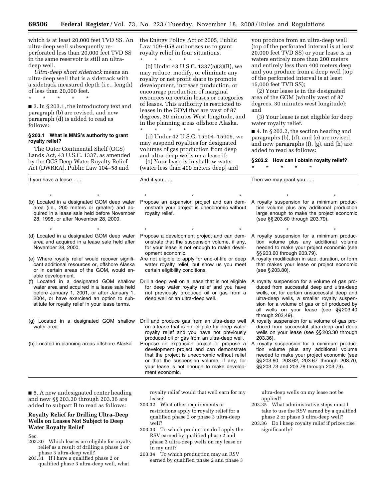which is at least 20,000 feet TVD SS. An ultra-deep well subsequently reperforated less than 20,000 feet TVD SS in the same reservoir is still an ultradeep well.

*Ultra-deep short sidetrack* means an ultra-deep well that is a sidetrack with a sidetrack measured depth (i.e., length) of less than 20,000 feet.

\* \* \* \* \*

■ 3. In § 203.1, the introductory text and paragraph (b) are revised, and new paragraph (d) is added to read as follows:

#### **§ 203.1 What is MMS's authority to grant royalty relief?**

The Outer Continental Shelf (OCS) Lands Act, 43 U.S.C. 1337, as amended by the OCS Deep Water Royalty Relief Act (DWRRA), Public Law 104–58 and

the Energy Policy Act of 2005, Public Law 109–058 authorizes us to grant royalty relief in four situations.

\* \* \* \* \* (b) Under 43 U.S.C. 1337(a)(3)(B), we may reduce, modify, or eliminate any royalty or net profit share to promote development, increase production, or encourage production of marginal resources on certain leases or categories of leases. This authority is restricted to leases in the GOM that are west of 87 degrees, 30 minutes West longitude, and in the planning areas offshore Alaska. \* \* \* \* \*

(d) Under 42 U.S.C. 15904–15905, we may suspend royalties for designated volumes of gas production from deep and ultra-deep wells on a lease if:

(1) Your lease is in shallow water (water less than 400 meters deep) and

you produce from an ultra-deep well (top of the perforated interval is at least 20,000 feet TVD SS) or your lease is in waters entirely more than 200 meters and entirely less than 400 meters deep and you produce from a deep well (top of the perforated interval is at least 15,000 feet TVD SS);

(2) Your lease is in the designated area of the GOM (wholly west of 87 degrees, 30 minutes west longitude); and

(3) Your lease is not eligible for deep water royalty relief.

■ 4. In § 203.2, the section heading and paragraphs (b), (d), and (e) are revised, and new paragraphs (f), (g), and (h) are added to read as follows:

#### **§ 203.2 How can I obtain royalty relief?**

\* \* \* \* \*

| If you have a lease |                                                                                                                                                                                  | And if you $\dots$ |                                             | Then we may grant you $\dots$                                                                                                                                                                                      |  |
|---------------------|----------------------------------------------------------------------------------------------------------------------------------------------------------------------------------|--------------------|---------------------------------------------|--------------------------------------------------------------------------------------------------------------------------------------------------------------------------------------------------------------------|--|
|                     |                                                                                                                                                                                  |                    |                                             |                                                                                                                                                                                                                    |  |
|                     | (b) Located in a designated GOM deep water<br>area (i.e., 200 meters or greater) and ac-<br>quired in a lease sale held before November<br>28, 1995, or after November 28, 2000. | royalty relief.    | onstrate your project is uneconomic without | Propose an expansion project and can dem- A royalty suspension for a minimum produc-<br>tion volume plus any additional production<br>large enough to make the project economic<br>(see §§ 203.60 through 203.79). |  |

Propose a development project and can demonstrate that the suspension volume, if any, for your lease is not enough to make devel-

Are not eligible to apply for end-of-life or deep water royalty relief, but show us you meet

Drill a deep well on a lease that is not eligible for deep water royalty relief and you have not previously produced oil or gas from a

opment economic.

certain eligibility conditions.

deep well or an ultra-deep well.

- (d) Located in a designated GOM deep water area and acquired in a lease sale held after November 28, 2000.
- (e) Where royalty relief would recover significant additional resources or, offshore Alaska or in certain areas of the GOM, would enable development.
- (f) Located in a designated GOM shallow water area and acquired in a lease sale held before January 1, 2001, or after January 1, 2004, or have exercised an option to substitute for royalty relief in your lease terms.
- (g) Located in a designated GOM shallow water area.
- 
- (h) Located in planning areas offshore Alaska Propose an expansion project or propose a development project and can demonstrate that the project is uneconomic without relief or that the suspension volume, if any, for your lease is not enough to make development economic.

Drill and produce gas from an ultra-deep well on a lease that is not eligible for deep water royalty relief and you have not previously produced oil or gas from an ultra-deep well.

- \* \* \* \* \* \* \* \* \* \* \* \* \* \* \* A royalty suspension for a minimum produc
	- tion volume plus any additional volume needed to make your project economic (see §§ 203.60 through 203.79).
	- A royalty modification in size, duration, or form that makes your lease or project economic (see § 203.80).

A royalty suspension for a volume of gas produced from successful deep and ultra-deep wells, or, for certain unsuccessful deep and ultra-deep wells, a smaller royalty suspension for a volume of gas or oil produced by all wells on your lease (see §§ 203.40 through 203.49).

- A royalty suspension for a volume of gas produced from successful ultra-deep and deep wells on your lease (see §§ 203.30 through 203.36).
- A royalty suspension for a minimum production volume plus any additional volume needed to make your project economic (see §§ 203.60, 203.62, 203.67 through 203.70, §§ 203.73 and 203.76 through 203.79).

■ 5. A new undesignated center heading and new §§ 203.30 through 203.36 are added to subpart B to read as follows:

# **Royalty Relief for Drilling Ultra–Deep Wells on Leases Not Subject to Deep Water Royalty Relief**

Sec.

- 203.30 Which leases are eligible for royalty relief as a result of drilling a phase 2 or phase 3 ultra-deep well?
- 203.31 If I have a qualified phase 2 or qualified phase 3 ultra-deep well, what

royalty relief would that well earn for my lease?

- 203.32 What other requirements or restrictions apply to royalty relief for a qualified phase 2 or phase 3 ultra-deep well?
- 203.33 To which production do I apply the RSV earned by qualified phase 2 and phase 3 ultra-deep wells on my lease or in my unit?
- 203.34 To which production may an RSV earned by qualified phase 2 and phase 3

ultra-deep wells on my lease not be applied?

- 203.35 What administrative steps must I take to use the RSV earned by a qualified phase 2 or phase 3 ultra-deep well?
- 203.36 Do I keep royalty relief if prices rise significantly?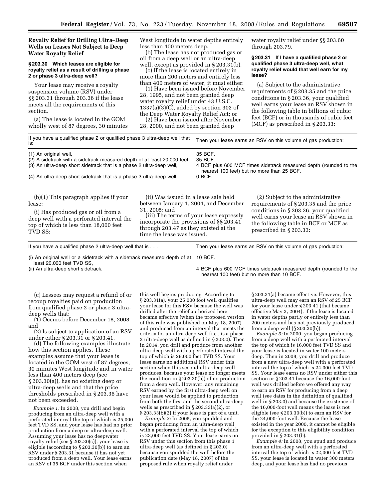**Royalty Relief for Drilling Ultra–Deep Wells on Leases Not Subject to Deep Water Royalty Relief** 

#### **§ 203.30 Which leases are eligible for royalty relief as a result of drilling a phase 2 or phase 3 ultra-deep well?**

Your lease may receive a royalty suspension volume (RSV) under §§ 203.31 through 203.36 if the lease meets all the requirements of this section.

(a) The lease is located in the GOM wholly west of 87 degrees, 30 minutes West longitude in water depths entirely less than 400 meters deep.

(b) The lease has not produced gas or oil from a deep well or an ultra-deep well, except as provided in § 203.31(b).

(c) If the lease is located entirely in more than 200 meters and entirely less than 400 meters of water, it must either:

(1) Have been issued before November 28, 1995, and not been granted deep water royalty relief under 43 U.S.C. 1337(a)(3)(C), added by section 302 of the Deep Water Royalty Relief Act; or

(2) Have been issued after November 28, 2000, and not been granted deep

water royalty relief under §§ 203.60 through 203.79.

#### **§ 203.31 If I have a qualified phase 2 or qualified phase 3 ultra-deep well, what royalty relief would that well earn for my lease?**

(a) Subject to the administrative requirements of § 203.35 and the price conditions in § 203.36, your qualified well earns your lease an RSV shown in the following table in billions of cubic feet (BCF) or in thousands of cubic feet (MCF) as prescribed in § 203.33:

| If you have a qualified phase 2 or qualified phase 3 ultra-deep well that<br>is:                                                                                          | Then your lease earns an RSV on this volume of gas production:                                                                        |
|---------------------------------------------------------------------------------------------------------------------------------------------------------------------------|---------------------------------------------------------------------------------------------------------------------------------------|
| (1) An original well,<br>(2) A sidetrack with a sidetrack measured depth of at least 20,000 feet,<br>(3) An ultra-deep short sidetrack that is a phase 2 ultra-deep well, | 35 BCF.<br>35 BCF.<br>4 BCF plus 600 MCF times sidetrack measured depth (rounded to the<br>nearest 100 feet) but no more than 25 BCF. |
| (4) An ultra-deep short sidetrack that is a phase 3 ultra-deep well,                                                                                                      | 0 BCF.                                                                                                                                |

(b)(1) This paragraph applies if your lease:

(i) Has produced gas or oil from a deep well with a perforated interval the top of which is less than 18,000 feet TVD SS;

(ii) Was issued in a lease sale held between January 1, 2004, and December 31, 2005; and

(iii) The terms of your lease expressly incorporate the provisions of §§ 203.41 through 203.47 as they existed at the time the lease was issued.

(2) Subject to the administrative requirements of § 203.35 and the price conditions in § 203.36, your qualified well earns your lease an RSV shown in the following table in BCF or MCF as prescribed in § 203.33:

| If you have a qualified phase 2 ultra-deep well that is                                                                                                       | Then your lease earns an RSV on this volume of gas production:                                                  |
|---------------------------------------------------------------------------------------------------------------------------------------------------------------|-----------------------------------------------------------------------------------------------------------------|
| (i) An original well or a sidetrack with a sidetrack measured depth of at $\vert$ 10 BCF.<br>least 20,000 feet TVD SS.<br>(ii) An ultra-deep short sidetrack, | 4 BCF plus 600 MCF times sidetrack measured depth (rounded to the<br>nearest 100 feet) but no more than 10 BCF. |

(c) Lessees may request a refund of or recoup royalties paid on production from qualified phase 2 or phase 3 ultradeep wells that:

(1) Occurs before December 18, 2008 and

(2) Is subject to application of an RSV under either § 203.31 or § 203.41.

(d) The following examples illustrate how this section applies. These examples assume that your lease is located in the GOM west of 87 degrees, 30 minutes West longitude and in water less than 400 meters deep (see § 203.30(a)), has no existing deep or ultra-deep wells and that the price thresholds prescribed in § 203.36 have not been exceeded.

*Example 1:* In 2008, you drill and begin producing from an ultra-deep well with a perforated interval the top of which is 25,000 feet TVD SS, and your lease has had no prior production from a deep or ultra-deep well. Assuming your lease has no deepwater royalty relief (see § 203.30(c)), your lease is eligible (according to § 203.30(b)) to earn an RSV under § 203.31 because it has not yet produced from a deep well. Your lease earns an RSV of 35 BCF under this section when

this well begins producing. According to § 203.31(a), your 25,000 foot well qualifies your lease for this RSV because the well was drilled after the relief authorized here became effective (when the proposed version of this rule was published on May 18, 2007) and produced from an interval that meets the criteria for an ultra-deep well (i.e., is a phase 2 ultra-deep well as defined in § 203.0). Then in 2014, you drill and produce from another ultra-deep well with a perforated interval the top of which is 29,000 feet TVD SS. Your lease earns no additional RSV under this section when this second ultra-deep well produces, because your lease no longer meets the condition in § 203.30(b)) of no production from a deep well. However, any remaining RSV earned by the first ultra-deep well on your lease would be applied to production from both the first and the second ultra-deep wells as prescribed in § 203.33(a)(2), or § 203.33(b)(2) if your lease is part of a unit.

*Example 2:* In 2005, you spudded and began producing from an ultra-deep well with a perforated interval the top of which is 23,000 feet TVD SS. Your lease earns no RSV under this section from this phase 1 ultra-deep well (as defined in § 203.0) because you spudded the well before the publication date (May 18, 2007) of the proposed rule when royalty relief under

§ 203.31(a) became effective. However, this ultra-deep well may earn an RSV of 25 BCF for your lease under § 203.41 (that became effective May 3, 2004), if the lease is located in water depths partly or entirely less than 200 meters and has not previously produced from a deep well (§ 203.30(b)).

*Example 3:* In 2000, you began producing from a deep well with a perforated interval the top of which is 16,000 feet TVD SS and your lease is located in water 100 meters deep. Then in 2008, you drill and produce from a new ultra-deep well with a perforated interval the top of which is 24,000 feet TVD SS. Your lease earns no RSV under either this section or § 203.41 because the 16,000-foot well was drilled before we offered any way to earn an RSV for producing from a deep well (see dates in the definition of qualified well in § 203.0) and because the existence of the 16,000-foot well means the lease is not eligible (see § 203.30(b)) to earn an RSV for the 24,000-foot well. Because the lease existed in the year 2000, it cannot be eligible for the exception to this eligibility condition provided in  $\S 203.31(b)$ .

*Example 4:* In 2008, you spud and produce from an ultra-deep well with a perforated interval the top of which is 22,000 feet TVD SS, your lease is located in water 300 meters deep, and your lease has had no previous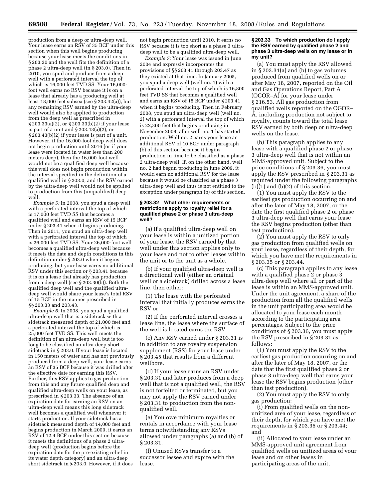production from a deep or ultra-deep well. Your lease earns an RSV of 35 BCF under this section when this well begins producing because your lease meets the conditions in § 203.30 and the well fits the definition of a phase 2 ultra-deep well (in § 203.0). Then in 2010, you spud and produce from a deep well with a perforated interval the top of which is 16,000 feet TVD SS. Your 16,000 foot well earns no RSV because it is on a lease that already has a producing well at least 18,000 feet subsea (see § 203.42(a)), but any remaining RSV earned by the ultra-deep well would also be applied to production from the deep well as prescribed in § 203.33(a)(2), or § 203.33(b)(2) if your lease is part of a unit and § 203.43(a)(2), or § 203.43(b)(2) if your lease is part of a unit. However, if the 16,000-foot deep well does not begin production until 2016 (or if your lease were located in water less than 200 meters deep), then the 16,000-foot well would not be a qualified deep well because this well does not begin production within the interval specified in the definition of a qualified well in § 203.0, and the RSV earned by the ultra-deep well would not be applied to production from this (unqualified) deep well.

*Example 5:* In 2008, you spud a deep well with a perforated interval the top of which is 17,000 feet TVD SS that becomes a qualified well and earns an RSV of 15 BCF under § 203.41 when it begins producing. Then in 2011, you spud an ultra-deep well with a perforated interval the top of which is 26,000 feet TVD SS. Your 26,000-foot well becomes a qualified ultra-deep well because it meets the date and depth conditions in this definition under § 203.0 when it begins producing, but your lease earns no additional RSV under this section or § 203.41 because it is on a lease that already has production from a deep well (see § 203.30(b)). Both the qualified deep well and the qualified ultradeep well would share your lease's total RSV of 15 BCF in the manner prescribed in §§ 203.33 and 203.43.

*Example 6:* In 2008, you spud a qualified ultra-deep well that is a sidetrack with a sidetrack measured depth of 21,000 feet and a perforated interval the top of which is 25,000 feet TVD SS. This well meets the definition of an ultra-deep well but is too long to be classified an ultra-deep short sidetrack in § 203.0. If your lease is located in 150 meters of water and has not previously produced from a deep well, your lease earns an RSV of 35 BCF because it was drilled after the effective date for earning this RSV. Further, this RSV applies to gas production from this and any future qualified deep and qualified ultra-deep wells on your lease, as prescribed in § 203.33. The absence of an expiration date for earning an RSV on an ultra-deep well means this long sidetrack well becomes a qualified well whenever it starts production. If your sidetrack has a sidetrack measured depth of 14,000 feet and begins production in March 2009, it earns an RSV of 12.4 BCF under this section because it meets the definitions of a phase 2 ultradeep well (production begins before the expiration date for the pre-existing relief in its water depth category) and an ultra-deep short sidetrack in § 203.0. However, if it does

not begin production until 2010, it earns no RSV because it is too short as a phase 3 ultradeep well to be a qualified ultra-deep well.

*Example 7:* Your lease was issued in June 2004 and expressly incorporates the provisions of §§ 203.41 through 203.47 as they existed at that time. In January 2005, you spud a deep well (well no. 1) with a perforated interval the top of which is 16,800 feet TVD SS that becomes a qualified well and earns an RSV of 15 BCF under § 203.41 when it begins producing. Then in February 2008, you spud an ultra-deep well (well no. 2) with a perforated interval the top of which is 22,300 feet that begins producing in November 2008, after well no. 1 has started production. Well no. 2 earns your lease an additional RSV of 10 BCF under paragraph (b) of this section because it begins production in time to be classified as a phase 2 ultra-deep well. If, on the other hand, well no. 2 had begun producing in June 2009, it would earn no additional RSV for the lease because it would be classified as a phase 3 ultra-deep well and thus is not entitled to the exception under paragraph (b) of this section.

#### **§ 203.32 What other requirements or restrictions apply to royalty relief for a qualified phase 2 or phase 3 ultra-deep well?**

(a) If a qualified ultra-deep well on your lease is within a unitized portion of your lease, the RSV earned by that well under this section applies only to your lease and not to other leases within the unit or to the unit as a whole.

(b) If your qualified ultra-deep well is a directional well (either an original well or a sidetrack) drilled across a lease line, then either:

(1) The lease with the perforated interval that initially produces earns the RSV or

(2) If the perforated interval crosses a lease line, the lease where the surface of the well is located earns the RSV.

(c) Any RSV earned under § 203.31 is in addition to any royalty suspension supplement (RSS) for your lease under § 203.45 that results from a different wellbore.

(d) If your lease earns an RSV under § 203.31 and later produces from a deep well that is not a qualified well, the RSV is not forfeited or terminated, but you may not apply the RSV earned under § 203.31 to production from the nonqualified well.

(e) You owe minimum royalties or rentals in accordance with your lease terms notwithstanding any RSVs allowed under paragraphs (a) and (b) of § 203.31.

(f) Unused RSVs transfer to a successor lessee and expire with the lease.

#### **§ 203.33 To which production do I apply the RSV earned by qualified phase 2 and phase 3 ultra-deep wells on my lease or in my unit?**

(a) You must apply the RSV allowed in § 203.31(a) and (b) to gas volumes produced from qualified wells on or after May 18, 2007, reported on the Oil and Gas Operations Report, Part A (OGOR–A) for your lease under § 216.53. All gas production from qualified wells reported on the OGOR– A, including production not subject to royalty, counts toward the total lease RSV earned by both deep or ultra-deep wells on the lease.

(b) This paragraph applies to any lease with a qualified phase 2 or phase 3 ultra-deep well that is not within an MMS-approved unit. Subject to the price conditions of § 203.36, you must apply the RSV prescribed in § 203.31 as required under the following paragraphs  $(b)$  $(1)$  and  $(b)$  $(2)$  of this section.

(1) You must apply the RSV to the earliest gas production occurring on and after the later of May 18, 2007, or the date the first qualified phase 2 or phase 3 ultra-deep well that earns your lease the RSV begins production (other than test production).

(2) You must apply the RSV to only gas production from qualified wells on your lease, regardless of their depth, for which you have met the requirements in § 203.35 or § 203.44.

(c) This paragraph applies to any lease with a qualified phase 2 or phase 3 ultra-deep well where all or part of the lease is within an MMS-approved unit. Under the unit agreement, a share of the production from all the qualified wells in the unit participating area would be allocated to your lease each month according to the participating area percentages. Subject to the price conditions of § 203.36, you must apply the RSV prescribed in § 203.31 as follows:

(1) You must apply the RSV to the earliest gas production occurring on and after the later of May 18, 2007, or the date that the first qualified phase 2 or phase 3 ultra-deep well that earns your lease the RSV begins production (other than test production).

(2) You must apply the RSV to only gas production:

(i) From qualified wells on the nonunitized area of your lease, regardless of their depth, for which you have met the requirements in § 203.35 or § 203.44; and

(ii) Allocated to your lease under an MMS-approved unit agreement from qualified wells on unitized areas of your lease and on other leases in participating areas of the unit,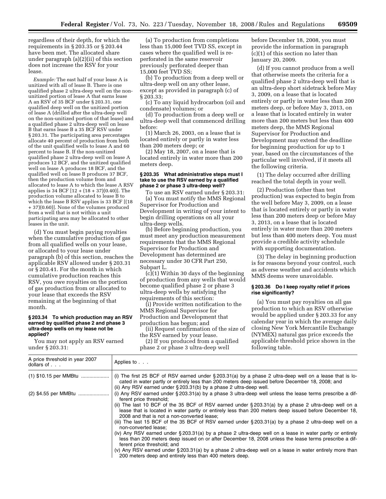regardless of their depth, for which the requirements in § 203.35 or § 203.44 have been met. The allocated share under paragraph (a)(2)(ii) of this section does not increase the RSV for your lease.

*Example:* The east half of your lease A is unitized with all of lease B. There is one qualified phase 2 ultra-deep well on the nonunitized portion of lease A that earns lease A an RSV of 35 BCF under § 203.31, one qualified deep well on the unitized portion of lease A (drilled after the ultra-deep well on the non-unitized portion of that lease) and a qualified phase 2 ultra-deep well on lease B that earns lease B a 35 BCF RSV under § 203.31. The participating area percentages allocate 40 percent of production from both of the unit qualified wells to lease A and 60 percent to lease B. If the non-unitized qualified phase 2 ultra-deep well on lease A produces 12 BCF, and the unitized qualified well on lease A produces 18 BCF, and the qualified well on lease B produces 37 BCF, then the production volume from and allocated to lease A to which the lease A RSV applies is 34 BCF [12 + (18 + 37)(0.40)]. The production volume allocated to lease B to which the lease B RSV applies is 33 BCF [(18 + 37)(0.60)]. None of the volumes produced from a well that is not within a unit participating area may be allocated to other leases in the unit.

(d) You must begin paying royalties when the cumulative production of gas from all qualified wells on your lease, or allocated to your lease under paragraph (b) of this section, reaches the applicable RSV allowed under § 203.31 or § 203.41. For the month in which cumulative production reaches this RSV, you owe royalties on the portion of gas production from or allocated to your lease that exceeds the RSV remaining at the beginning of that month.

#### **§ 203.34 To which production may an RSV earned by qualified phase 2 and phase 3 ultra-deep wells on my lease not be applied?**

You may not apply an RSV earned under § 203.31:

(a) To production from completions less than 15,000 feet TVD SS, except in cases where the qualified well is reperforated in the same reservoir previously perforated deeper than 15,000 feet TVD SS;

(b) To production from a deep well or ultra-deep well on any other lease, except as provided in paragraph (c) of § 203.33;

(c) To any liquid hydrocarbon (oil and condensate) volumes; or

(d) To production from a deep well or ultra-deep well that commenced drilling before:

(1) March 26, 2003, on a lease that is located entirely or partly in water less than 200 meters deep; or

(2) May 18, 2007, on a lease that is located entirely in water more than 200 meters deep.

#### **§ 203.35 What administrative steps must I take to use the RSV earned by a qualified phase 2 or phase 3 ultra-deep well?**

To use an RSV earned under § 203.31: (a) You must notify the MMS Regional Supervisor for Production and Development in writing of your intent to begin drilling operations on all your ultra-deep wells.

(b) Before beginning production, you must meet any production measurement requirements that the MMS Regional Supervisor for Production and Development has determined are necessary under 30 CFR Part 250, Subpart L.

(c)(1) Within 30 days of the beginning of production from any wells that would become qualified phase 2 or phase 3 ultra-deep wells by satisfying the requirements of this section:

(i) Provide written notification to the MMS Regional Supervisor for Production and Development that production has begun; and

(ii) Request confirmation of the size of the RSV earned by your lease.

(2) If you produced from a qualified phase 2 or phase 3 ultra-deep well

before December 18, 2008, you must provide the information in paragraph (c)(1) of this section no later than January 20, 2009.

(d) If you cannot produce from a well that otherwise meets the criteria for a qualified phase 2 ultra-deep well that is an ultra-deep short sidetrack before May 3, 2009, on a lease that is located entirely or partly in water less than 200 meters deep, or before May 3, 2013, on a lease that is located entirely in water more than 200 meters but less than 400 meters deep, the MMS Regional Supervisor for Production and Development may extend the deadline for beginning production for up to 1 year, based on the circumstances of the particular well involved, if it meets all the following criteria.

(1) The delay occurred after drilling reached the total depth in your well.

(2) Production (other than test production) was expected to begin from the well before May 3, 2009, on a lease that is located entirely or partly in water less than 200 meters deep or before May 3, 2013, on a lease that is located entirely in water more than 200 meters but less than 400 meters deep. You must provide a credible activity schedule with supporting documentation.

(3) The delay in beginning production is for reasons beyond your control, such as adverse weather and accidents which MMS deems were unavoidable.

#### **§ 203.36 Do I keep royalty relief if prices rise significantly?**

(a) You must pay royalties on all gas production to which an RSV otherwise would be applied under § 203.33 for any calendar year in which the average daily closing New York Mercantile Exchange (NYMEX) natural gas price exceeds the applicable threshold price shown in the following table.

| A price threshold in year 2007<br>dollars of | Applies to                                                                                                                                                                                                                                                                                                                                                                                                                                                                                                                                                                                                                                                                                                                                                                                                                                                                                                                                                         |
|----------------------------------------------|--------------------------------------------------------------------------------------------------------------------------------------------------------------------------------------------------------------------------------------------------------------------------------------------------------------------------------------------------------------------------------------------------------------------------------------------------------------------------------------------------------------------------------------------------------------------------------------------------------------------------------------------------------------------------------------------------------------------------------------------------------------------------------------------------------------------------------------------------------------------------------------------------------------------------------------------------------------------|
| $(1)$ \$10.15 per MMBtu                      | (i) The first 25 BCF of RSV earned under $\S 203.31(a)$ by a phase 2 ultra-deep well on a lease that is lo-<br>cated in water partly or entirely less than 200 meters deep issued before December 18, 2008; and<br>(ii) Any RSV earned under $\S 203.31(b)$ by a phase 2 ultra-deep well.                                                                                                                                                                                                                                                                                                                                                                                                                                                                                                                                                                                                                                                                          |
| (2) \$4.55 per MMBtu                         | (i) Any RSV earned under § 203.31(a) by a phase 3 ultra-deep well unless the lease terms prescribe a dif-<br>ferent price threshold:<br>(ii) The last 10 BCF of the 35 BCF of RSV earned under §203.31(a) by a phase 2 ultra-deep well on a<br>lease that is located in water partly or entirely less than 200 meters deep issued before December 18,<br>2008 and that is not a non-converted lease;<br>(iii) The last 15 BCF of the 35 BCF of RSV earned under § 203.31(a) by a phase 2 ultra-deep well on a<br>non-converted lease:<br>(iv) Any RSV earned under § 203.31(a) by a phase 2 ultra-deep well on a lease in water partly or entirely<br>less than 200 meters deep issued on or after December 18, 2008 unless the lease terms prescribe a dif-<br>ferent price threshold; and<br>(v) Any RSV earned under § 203.31(a) by a phase 2 ultra-deep well on a lease in water entirely more than<br>200 meters deep and entirely less than 400 meters deep. |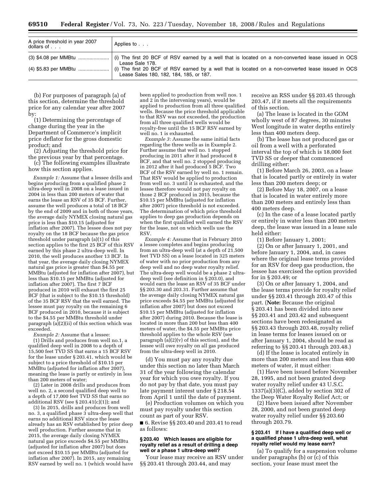| A price threshold in year 2007<br>dollars of | Applies to                              |
|----------------------------------------------|-----------------------------------------|
|                                              | Lease Sale 178.                         |
|                                              | Lease Sales 180, 182, 184, 185, or 187. |

(b) For purposes of paragraph (a) of this section, determine the threshold price for any calendar year after 2007 by:

(1) Determining the percentage of change during the year in the Department of Commerce's implicit price deflator for the gross domestic product; and

(2) Adjusting the threshold price for the previous year by that percentage.

(c) The following examples illustrate how this section applies.

*Example 1:* Assume that a lessee drills and begins producing from a qualified phase 2 ultra-deep well in 2008 on a lease issued in 2004 in less than 200 meters of water that earns the lease an RSV of 35 BCF. Further, assume the well produces a total of 18 BCF by the end of 2009 and in both of those years, the average daily NYMEX closing natural gas price is less than \$10.15 (adjusted for inflation after 2007). The lessee does not pay royalty on the 18 BCF because the gas price threshold under paragraph (a)(1) of this section applies to the first 25 BCF of this RSV earned by this phase 2 ultra-deep well. In 2010, the well produces another 13 BCF. In that year, the average daily closing NYMEX natural gas price is greater than \$4.55 per MMBtu (adjusted for inflation after 2007), but less than \$10.15 per MMBtu (adjusted for inflation after 2007). The first 7 BCF produced in 2010 will exhaust the first 25 BCF (that is subject to the \$10.15 threshold) of the 35 BCF RSV that the well earned. The lessee must pay royalty on the remaining 6 BCF produced in 2010, because it is subject to the \$4.55 per MMBtu threshold under paragraph (a)(2)(ii) of this section which was exceeded.

*Example 2:* Assume that a lessee:

(1) Drills and produces from well no.1, a qualified deep well in 2008 to a depth of 15,500 feet TVD SS that earns a 15 BCF RSV for the lease under § 203.41, which would be subject to a price threshold of \$10.15 per MMBtu (adjusted for inflation after 2007), meaning the lease is partly or entirely in less than 200 meters of water;

(2) Later in 2008 drills and produces from well no. 2, a second qualified deep well to a depth of 17,000 feet TVD SS that earns no additional RSV (see § 203.41(c)(1)); and

(3) In 2015, drills and produces from well no. 3, a qualified phase 3 ultra-deep well that earns no additional RSV since the lease already has an RSV established by prior deep well production. Further assume that in 2015, the average daily closing NYMEX natural gas price exceeds \$4.55 per MMBtu (adjusted for inflation after 2007) but does not exceed \$10.15 per MMBtu (adjusted for inflation after 2007). In 2015, any remaining RSV earned by well no. 1 (which would have

been applied to production from well nos. 1 and 2 in the intervening years), would be applied to production from all three qualified wells. Because the price threshold applicable to that RSV was not exceeded, the production from all three qualified wells would be royalty-free until the 15 BCF RSV earned by well no. 1 is exhausted.

*Example 3:* Assume the same initial facts regarding the three wells as in Example 2. Further assume that well no. 1 stopped producing in 2011 after it had produced 8 BCF, and that well no. 2 stopped producing in 2012 after it had produced 5 BCF. Two BCF of the RSV earned by well no. 1 remain. That RSV would be applied to production from well no. 3 until it is exhausted, and the lessee therefore would not pay royalty on those 2 BCF produced in 2015, because the \$10.15 per MMBtu (adjusted for inflation after 2007) price threshold is not exceeded. The determination of which price threshold applies to deep gas production depends on when the first qualified well earned the RSV for the lease, not on which wells use the RSV.

*Example 4:* Assume that in February 2010 a lessee completes and begins producing from an ultra-deep well (at a depth of 21,500 feet TVD SS) on a lease located in 325 meters of water with no prior production from any deep well and no deep water royalty relief. The ultra-deep well would be a phase 2 ultradeep well (see definition in § 203.0), and would earn the lease an RSV of 35 BCF under §§ 203.30 and 203.31. Further assume that the average daily closing NYMEX natural gas price exceeds \$4.55 per MMBtu (adjusted for inflation after 2007) but does not exceed \$10.15 per MMBtu (adjusted for inflation after 2007) during 2010. Because the lease is located in more than 200 but less than 400 meters of water, the \$4.55 per MMBtu price threshold applies to the whole RSV (see paragraph (a)(2)(v) of this section), and the lessee will owe royalty on all gas produced from the ultra-deep well in 2010.

(d) You must pay any royalty due under this section no later than March 31 of the year following the calendar year for which you owe royalty. If you do not pay by that date, you must pay late payment interest under § 218.54 from April 1 until the date of payment.

(e) Production volumes on which you must pay royalty under this section count as part of your RSV.

■ 6. Revise §§ 203.40 and 203.41 to read as follows:

#### **§ 203.40 Which leases are eligible for royalty relief as a result of drilling a deep well or a phase 1 ultra-deep well?**

Your lease may receive an RSV under §§ 203.41 through 203.44, and may

receive an RSS under §§ 203.45 through 203.47, if it meets all the requirements of this section.

(a) The lease is located in the GOM wholly west of 87 degrees, 30 minutes West longitude in water depths entirely less than 400 meters deep.

(b) The lease has not produced gas or oil from a well with a perforated interval the top of which is 18,000 feet TVD SS or deeper that commenced drilling either:

(1) Before March 26, 2003, on a lease that is located partly or entirely in water less than 200 meters deep; or

(2) Before May 18, 2007, on a lease that is located in water entirely more than 200 meters and entirely less than 400 meters deep.

(c) In the case of a lease located partly or entirely in water less than 200 meters deep, the lease was issued in a lease sale held either:

(1) Before January 1, 2001;

(2) On or after January 1, 2001, and before January 1, 2004, and, in cases where the original lease terms provided for an RSV for deep gas production, the lessee has exercised the option provided for in § 203.49; or

(3) On or after January 1, 2004, and the lease terms provide for royalty relief under §§ 203.41 through 203.47 of this part. (**Note:** Because the original § 203.41 has been divided into new §§ 203.41 and 203.42 and subsequent sections have been redesignated as §§ 203.43 through 203.48, royalty relief in lease terms for leases issued on or after January 1, 2004, should be read as referring to §§ 203.41 through 203.48.)

(d) If the lease is located entirely in more than 200 meters and less than 400 meters of water, it must either:

(1) Have been issued before November 28, 1995, and not been granted deep water royalty relief under 43 U.S.C. 1337(a)(3)(C), added by section 302 of the Deep Water Royalty Relief Act; or

(2) Have been issued after November 28, 2000, and not been granted deep water royalty relief under §§ 203.60 through 203.79.

#### **§ 203.41 If I have a qualified deep well or a qualified phase 1 ultra-deep well, what royalty relief would my lease earn?**

(a) To qualify for a suspension volume under paragraphs (b) or (c) of this section, your lease must meet the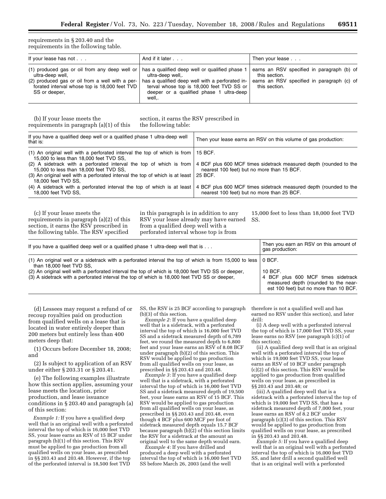requirements in § 203.40 and the requirements in the following table.

| If your lease has not                                                                                                                                                                                                                         | And if it later                                                                                                                                                       | Then your lease                                                                                                            |
|-----------------------------------------------------------------------------------------------------------------------------------------------------------------------------------------------------------------------------------------------|-----------------------------------------------------------------------------------------------------------------------------------------------------------------------|----------------------------------------------------------------------------------------------------------------------------|
| (1) produced gas or oil from any deep well or $\vert$ has a qualified deep well or qualified phase 1<br>ultra-deep well,<br>(2) produced gas or oil from a well with a per-<br>forated interval whose top is 18,000 feet TVD<br>SS or deeper, | ultra-deep well<br>has a qualified deep well with a perforated in-<br>terval whose top is 18,000 feet TVD SS or<br>deeper or a qualified phase 1 ultra-deep<br>well,. | earns an RSV specified in paragraph (b) of<br>this section.<br>earns an RSV specified in paragraph (c) of<br>this section. |

(b) If your lease meets the requirements in paragraph (a)(1) of this section, it earns the RSV prescribed in the following table:

| If you have a qualified deep well or a qualified phase 1 ultra-deep well<br>that is:                                                | Then your lease earns an RSV on this volume of gas production:                                                  |
|-------------------------------------------------------------------------------------------------------------------------------------|-----------------------------------------------------------------------------------------------------------------|
| (1) An original well with a perforated interval the top of which is from $\vert$ 15 BCF.<br>15,000 to less than 18,000 feet TVD SS, |                                                                                                                 |
| (2) A sidetrack with a perforated interval the top of which is from<br>15,000 to less than 18,000 feet TVD SS,                      | 4 BCF plus 600 MCF times sidetrack measured depth (rounded to the<br>nearest 100 feet) but no more than 15 BCF. |
| (3) An original well with a perforated interval the top of which is at least<br>18,000 feet TVD SS.                                 | 25 BCF.                                                                                                         |
| (4) A sidetrack with a perforated interval the top of which is at least<br>18,000 feet TVD SS.                                      | 4 BCF plus 600 MCF times sidetrack measured depth (rounded to the<br>nearest 100 feet) but no more than 25 BCF. |

(c) If your lease meets the requirements in paragraph (a)(2) of this section, it earns the RSV prescribed in the following table. The RSV specified

in this paragraph is in addition to any RSV your lease already may have earned from a qualified deep well with a perforated interval whose top is from

15,000 feet to less than 18,000 feet TVD SS.

| If you have a qualified deep well or a qualified phase 1 ultra-deep well that is                                | Then you earn an RSV on this amount of<br>gas production: |
|-----------------------------------------------------------------------------------------------------------------|-----------------------------------------------------------|
| (1) An original well or a sidetrack with a perforated interval the top of which is from 15,000 to less   0 BCF. | 10 BCF.                                                   |
| than 18,000 feet TVD SS.                                                                                        | 4 BCF plus 600 MCF times sidetrack                        |
| (2) An original well with a perforated interval the top of which is 18,000 feet TVD SS or deeper,               | measured depth (rounded to the near-                      |
| (3) A sidetrack with a perforated interval the top of which is 18,000 feet TVD SS or deeper,                    | est 100 feet) but no more than 10 BCF.                    |

(d) Lessees may request a refund of or recoup royalties paid on production from qualified wells on a lease that is located in water entirely deeper than 200 meters but entirely less than 400 meters deep that:

(1) Occurs before December 18, 2008; and

(2) Is subject to application of an RSV under either § 203.31 or § 203.41.

(e) The following examples illustrate how this section applies, assuming your lease meets the location, prior production, and lease issuance conditions in § 203.40 and paragraph (a) of this section:

*Example 1:* If you have a qualified deep well that is an original well with a perforated interval the top of which is 16,000 feet TVD SS, your lease earns an RSV of 15 BCF under paragraph (b)(1) of this section. This RSV must be applied to gas production from all qualified wells on your lease, as prescribed in §§ 203.43 and 203.48. However, if the top of the perforated interval is 18,500 feet TVD

SS, the RSV is 25 BCF according to paragraph (b)(3) of this section.

*Example 2:* If you have a qualified deep well that is a sidetrack, with a perforated interval the top of which is 16,000 feet TVD SS and a sidetrack measured depth of 6,789 feet, we round the measured depth to 6,800 feet and your lease earns an RSV of 8.08 BCF under paragraph (b)(2) of this section. This RSV would be applied to gas production from all qualified wells on your lease, as prescribed in §§ 203.43 and 203.48.

*Example 3:* If you have a qualified deep well that is a sidetrack, with a perforated interval the top of which is 16,000 feet TVD SS and a sidetrack measured depth of 19,500 feet, your lease earns an RSV of 15 BCF. This RSV would be applied to gas production from all qualified wells on your lease, as prescribed in §§ 203.43 and 203.48, even though 4 BCF plus 600 MCF per foot of sidetrack measured depth equals 15.7 BCF because paragraph  $(b)(2)$  of this section limits the RSV for a sidetrack at the amount an original well to the same depth would earn.

*Example 4:* If you have drilled and produced a deep well with a perforated interval the top of which is 16,000 feet TVD SS before March 26, 2003 (and the well

therefore is not a qualified well and has earned no RSV under this section), and later drill:

(i) A deep well with a perforated interval the top of which is 17,000 feet TVD SS, your lease earns no RSV (see paragraph (c)(1) of this section);

(ii) A qualified deep well that is an original well with a perforated interval the top of which is 19,000 feet TVD SS, your lease earns an RSV of 10 BCF under paragraph  $(c)(2)$  of this section. This RSV would be applied to gas production from qualified wells on your lease, as prescribed in §§ 203.43 and 203.48; or

(iii) A qualified deep well that is a sidetrack with a perforated interval the top of which is 19,000 feet TVD SS, that has a sidetrack measured depth of 7,000 feet, your lease earns an RSV of 8.2 BCF under paragraph (c)(3) of this section. This RSV would be applied to gas production from qualified wells on your lease, as prescribed in §§ 203.43 and 203.48.

*Example 5:* If you have a qualified deep well that is an original well with a perforated interval the top of which is 16,000 feet TVD SS, and later drill a second qualified well that is an original well with a perforated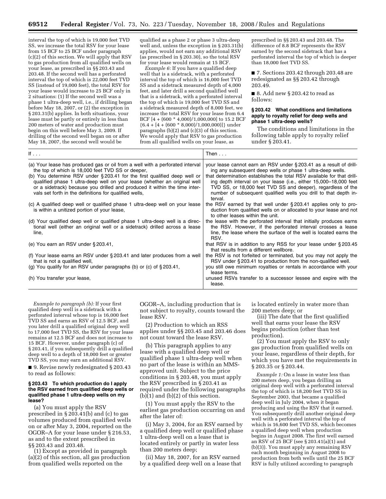interval the top of which is 19,000 feet TVD SS, we increase the total RSV for your lease from 15 BCF to 25 BCF under paragraph (c)(2) of this section. We will apply that RSV to gas production from all qualified wells on your lease, as prescribed in §§ 203.43 and 203.48. If the second well has a perforated interval the top of which is 22,000 feet TVD SS (instead of 19,000 feet), the total RSV for your lease would increase to 25 BCF only in 2 situations: (1) If the second well was a phase 1 ultra-deep well, i.e., if drilling began before May 18, 2007, or (2) the exception in § 203.31(b) applies. In both situations, your lease must be partly or entirely in less than 200 meters of water and production must begin on this well before May 3, 2009. If drilling of the second well began on or after May 18, 2007, the second well would be

qualified as a phase 2 or phase 3 ultra-deep well and, unless the exception in § 203.31(b) applies, would not earn any additional RSV (as prescribed in § 203.30), so the total RSV for your lease would remain at 15 BCF.

*Example 6:* If you have a qualified deep well that is a sidetrack, with a perforated interval the top of which is 16,000 feet TVD SS and a sidetrack measured depth of 4,000 feet, and later drill a second qualified well that is a sidetrack, with a perforated interval the top of which is 19,000 feet TVD SS and a sidetrack measured depth of 8,000 feet, we increase the total RSV for your lease from 6.4 BCF [4 + (600 \* 4,000)/1,000,000] to 15.2 BCF  ${6.4 + [4 + (600 * 8,000)/1,000,000]}$  under paragraphs (b)(2) and (c)(3) of this section. We would apply that RSV to gas production from all qualified wells on your lease, as

prescribed in §§ 203.43 and 203.48. The difference of 8.8 BCF represents the RSV earned by the second sidetrack that has a perforated interval the top of which is deeper than 18,000 feet TVD SS.

■ 7. Sections 203.42 through 203.48 are redesignated as §§ 203.42 through 203.49.

■ 8. Add new § 203.42 to read as follows:

## **§ 203.42 What conditions and limitations apply to royalty relief for deep wells and phase 1 ultra-deep wells?**

The conditions and limitations in the following table apply to royalty relief under § 203.41.

| If $\ldots$                                                                                                                                                                                                                                                                                                                                                                                                                          | Then $\ldots$                                                                                                                                                                                                                                                                                                                                                                                                                  |
|--------------------------------------------------------------------------------------------------------------------------------------------------------------------------------------------------------------------------------------------------------------------------------------------------------------------------------------------------------------------------------------------------------------------------------------|--------------------------------------------------------------------------------------------------------------------------------------------------------------------------------------------------------------------------------------------------------------------------------------------------------------------------------------------------------------------------------------------------------------------------------|
| (a) Your lease has produced gas or oil from a well with a perforated interval<br>the top of which is 18,000 feet TVD SS or deeper.<br>(b) You determine RSV under § 203.41 for the first qualified deep well or<br>qualified phase 1 ultra-deep well on your lease (whether an original well<br>or a sidetrack) because you drilled and produced it within the time inter-<br>vals set forth in the definitions for qualified wells, | your lease cannot earn an RSV under § 203.41 as a result of drill-<br>ing any subsequent deep wells or phase 1 ultra-deep wells.<br>that determination establishes the total RSV available for that drill-<br>ing depth interval on your lease (i.e., either 15,000–18,000 feet<br>TVD SS, or 18,000 feet TVD SS and deeper), regardless of the<br>number of subsequent qualified wells you drill to that depth in-<br>terval. |
| (c) A qualified deep well or qualified phase 1 ultra-deep well on your lease<br>is within a unitized portion of your lease,                                                                                                                                                                                                                                                                                                          | the RSV earned by that well under $\S 203.41$ applies only to pro-<br>duction from qualified wells on or allocated to your lease and not<br>to other leases within the unit.                                                                                                                                                                                                                                                   |
| (d) Your qualified deep well or qualified phase 1 ultra-deep well is a direc-<br>tional well (either an original well or a sidetrack) drilled across a lease<br>line,                                                                                                                                                                                                                                                                | the lease with the perforated interval that initially produces earns<br>the RSV. However, if the perforated interval crosses a lease<br>line, the lease where the surface of the well is located earns the<br>RSV.                                                                                                                                                                                                             |
| (e) You earn an RSV under § 203.41,                                                                                                                                                                                                                                                                                                                                                                                                  | that RSV is in addition to any RSS for your lease under $\S 203.45$<br>that results from a different wellbore.                                                                                                                                                                                                                                                                                                                 |
| (f) Your lease earns an RSV under § 203.41 and later produces from a well<br>that is not a qualified well,                                                                                                                                                                                                                                                                                                                           | the RSV is not forfeited or terminated, but you may not apply the<br>RSV under §203.41 to production from the non-qualified well.                                                                                                                                                                                                                                                                                              |
| (g) You qualify for an RSV under paragraphs (b) or (c) of $\S 203.41$ ,                                                                                                                                                                                                                                                                                                                                                              | you still owe minimum royalties or rentals in accordance with your<br>lease terms.                                                                                                                                                                                                                                                                                                                                             |
| (h) You transfer your lease,                                                                                                                                                                                                                                                                                                                                                                                                         | unused RSVs transfer to a successor lessee and expire with the<br>lease.                                                                                                                                                                                                                                                                                                                                                       |

*Example to paragraph (b):* If your first qualified deep well is a sidetrack with a perforated interval whose top is 16,000 feet TVD SS and earns an RSV of 12.5 BCF, and you later drill a qualified original deep well to 17,000 feet TVD SS, the RSV for your lease remains at 12.5 BCF and does not increase to 15 BCF. However, under paragraph (c) of § 203.41, if you subsequently drill a qualified deep well to a depth of 18,000 feet or greater TVD SS, you may earn an additional RSV.

■ 9. Revise newly redesignated § 203.43 to read as follows:

#### **§ 203.43 To which production do I apply the RSV earned from qualified deep wells or qualified phase 1 ultra-deep wells on my lease?**

(a) You must apply the RSV prescribed in § 203.41(b) and (c) to gas volumes produced from qualified wells on or after May 3, 2004, reported on the OGOR–A for your lease under § 216.53, as and to the extent prescribed in §§ 203.43 and 203.48.

(1) Except as provided in paragraph (a)(2) of this section, all gas production from qualified wells reported on the

OGOR–A, including production that is not subject to royalty, counts toward the lease RSV.

(2) Production to which an RSS applies under §§ 203.45 and 203.46 does not count toward the lease RSV.

(b) This paragraph applies to any lease with a qualified deep well or qualified phase 1 ultra-deep well when no part of the lease is within an MMSapproved unit. Subject to the price conditions in § 203.48, you must apply the RSV prescribed in § 203.41 as required under the following paragraphs  $(b)(1)$  and  $(b)(2)$  of this section.

(1) You must apply the RSV to the earliest gas production occurring on and after the later of:

(i) May 3, 2004, for an RSV earned by a qualified deep well or qualified phase 1 ultra-deep well on a lease that is located entirely or partly in water less than 200 meters deep;

(ii) May 18, 2007, for an RSV earned by a qualified deep well on a lease that

is located entirely in water more than 200 meters deep; or

(iii) The date that the first qualified well that earns your lease the RSV begins production (other than test production).

(2) You must apply the RSV to only gas production from qualified wells on your lease, regardless of their depth, for which you have met the requirements in § 203.35 or § 203.44.

*Example 1:* On a lease in water less than 200 meters deep, you began drilling an original deep well with a perforated interval the top of which is 18,200 feet TVD SS in September 2003, that became a qualified deep well in July 2004, when it began producing and using the RSV that it earned. You subsequently drill another original deep well with a perforated interval the top of which is  $16,600$  feet TVD SS, which becomes a qualified deep well when production begins in August 2008. The first well earned an RSV of 25 BCF (see § 203.41(a)(1) and (b)(3)). You must apply any remaining RSV each month beginning in August 2008 to production from both wells until the 25 BCF RSV is fully utilized according to paragraph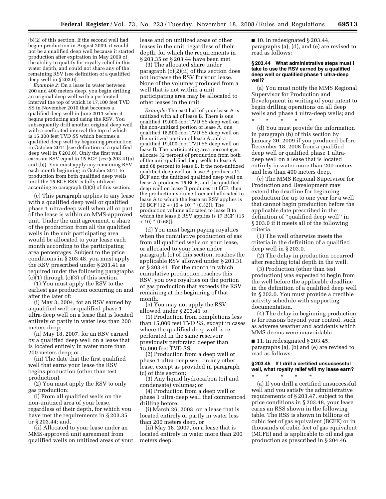(b)(2) of this section. If the second well had begun production in August 2009, it would not be a qualified deep well because it started production after expiration in May 2009 of the ability to qualify for royalty relief in this water depth, and could not share any of the remaining RSV (see definition of a qualified deep well in § 203.0).

*Example 2:* On a lease in water between 200 and 400 meters deep, you begin drilling an original deep well with a perforated interval the top of which is 17,100 feet TVD SS in November 2010 that becomes a qualified deep well in June 2011 when it begins producing and using the RSV. You subsequently drill another original deep well with a perforated interval the top of which is 15,300 feet TVD SS which becomes a qualified deep well by beginning production in October 2011 (see definition of a qualified deep well in § 203.0). Only the first well earns an RSV equal to 15 BCF (*see* § 203.41(a) and (b)). You must apply any remaining RSV each month beginning in October 2011 to production from both qualified deep wells until the 15 BCF RSV is fully utilized according to paragraph (b)(2) of this section.

(c) This paragraph applies to any lease with a qualified deep well or qualified phase 1 ultra-deep well when all or part of the lease is within an MMS-approved unit. Under the unit agreement, a share of the production from all the qualified wells in the unit participating area would be allocated to your lease each month according to the participating area percentages. Subject to the price conditions in § 203.48, you must apply the RSV prescribed under § 203.41 as required under the following paragraphs (c)(1) through (c)(3) of this section.

(1) You must apply the RSV to the earliest gas production occurring on and after the later of:

(i) May 3, 2004, for an RSV earned by a qualified well or qualified phase 1 ultra-deep well on a lease that is located entirely or partly in water less than 200 meters deep;

(ii) May 18, 2007, for an RSV earned by a qualified deep well on a lease that is located entirely in water more than 200 meters deep; or

(iii) The date that the first qualified well that earns your lease the RSV begins production (other than test production).

(2) You must apply the RSV to only gas production:

(i) From all qualified wells on the non-unitized area of your lease, regardless of their depth, for which you have met the requirements in § 203.35 or § 203.44; and,

(ii) Allocated to your lease under an MMS-approved unit agreement from qualified wells on unitized areas of your lease and on unitized areas of other leases in the unit, regardless of their depth, for which the requirements in § 203.35 or § 203.44 have been met.

(3) The allocated share under paragraph (c)(2)(ii) of this section does not increase the RSV for your lease. None of the volumes produced from a well that is not within a unit participating area may be allocated to other leases in the unit.

*Example:* The east half of your lease A is unitized with all of lease B. There is one qualified 19,000-foot TVD SS deep well on the non-unitized portion of lease A, one qualified 18,500-foot TVD SS deep well on the unitized portion of lease A, and a qualified 19,400-foot TVD SS deep well on lease B. The participating area percentages allocate 32 percent of production from both of the unit qualified deep wells to lease A and 68 percent to lease B. If the non-unitized qualified deep well on lease A produces 12 BCF and the unitized qualified deep well on lease A produces 15 BCF, and the qualified deep well on lease B produces 10 BCF, then the production volume from and allocated to lease A to which the lease an RSV applies is 20 BCF  $[12 + (15 + 10) * (0.32)]$ . The production volume allocated to lease B to which the lease B RSV applies is 17 BCF [(15 + 10) \* (0.68)].

(d) You must begin paying royalties when the cumulative production of gas from all qualified wells on your lease, or allocated to your lease under paragraph (c) of this section, reaches the applicable RSV allowed under § 203.31 or § 203.41. For the month in which cumulative production reaches this RSV, you owe royalties on the portion of gas production that exceeds the RSV remaining at the beginning of that month.

(e) You may not apply the RSV allowed under § 203.41 to:

(1) Production from completions less than 15,000 feet TVD SS, except in cases where the qualified deep well is reperforated in the same reservoir previously perforated deeper than 15,000 feet TVD SS;

(2) Production from a deep well or phase 1 ultra-deep well on any other lease, except as provided in paragraph (c) of this section;

(3) Any liquid hydrocarbon (oil and condensate) volumes; or

(4) Production from a deep well or phase 1 ultra-deep well that commenced drilling before:

(i) March 26, 2003, on a lease that is located entirely or partly in water less than 200 meters deep, or

(ii) May 18, 2007, on a lease that is located entirely in water more than 200 meters deep.

■ 10. In redesignated § 203.44, paragraphs (a), (d), and (e) are revised to read as follows:

#### **§ 203.44 What administrative steps must I take to use the RSV earned by a qualified deep well or qualified phase 1 ultra-deep well?**

(a) You must notify the MMS Regional Supervisor for Production and Development in writing of your intent to begin drilling operations on all deep wells and phase 1 ultra-deep wells; and \* \* \* \* \*

(d) You must provide the information in paragraph (b) of this section by January 20, 2009 if you produced before December 18, 2008 from a qualified deep well or qualified phase 1 ultradeep well on a lease that is located entirely in water more than 200 meters and less than 400 meters deep.

(e) The MMS Regional Supervisor for Production and Development may extend the deadline for beginning production for up to one year for a well that cannot begin production before the applicable date prescribed in the definition of ''qualified deep well'' in § 203.0 if it meets all of the following criteria.

(1) The well otherwise meets the criteria in the definition of a qualified deep well in § 203.0.

(2) The delay in production occurred after reaching total depth in the well.

(3) Production (other than test production) was expected to begin from the well before the applicable deadline in the definition of a qualified deep well in § 203.0. You must provide a credible activity schedule with supporting documentation.

(4) The delay in beginning production is for reasons beyond your control, such as adverse weather and accidents which MMS deems were unavoidable.

 $\blacksquare$  11. In redesignated § 203.45, paragraphs (a), (b) and (e) are revised to read as follows:

#### **§ 203.45 If I drill a certified unsuccessful well, what royalty relief will my lease earn?**  \* \* \* \* \*

(a) If you drill a certified unsuccessful well and you satisfy the administrative requirements of § 203.47, subject to the price conditions in § 203.48, your lease earns an RSS shown in the following table. The RSS is shown in billions of cubic feet of gas equivalent (BCFE) or in thousands of cubic feet of gas equivalent (MCFE) and is applicable to oil and gas production as prescribed in § 204.46.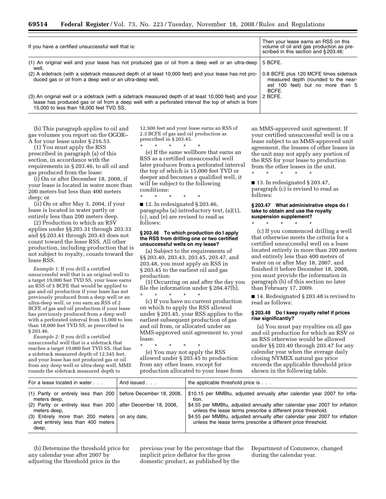| If you have a certified unsuccessful well that is:                                                                                                                                                                                                      | Then your lease earns an RSS on this<br>volume of oil and gas production as pre-<br>scribed in this section and §203.46:    |
|---------------------------------------------------------------------------------------------------------------------------------------------------------------------------------------------------------------------------------------------------------|-----------------------------------------------------------------------------------------------------------------------------|
| (1) An original well and your lease has not produced gas or oil from a deep well or an ultra-deep<br>well.                                                                                                                                              | 5 BCFE.                                                                                                                     |
| (2) A sidetrack (with a sidetrack measured depth of at least 10,000 feet) and your lease has not pro-<br>duced gas or oil from a deep well or an ultra-deep well,                                                                                       | 0.8 BCFE plus 120 MCFE times sidetrack<br>measured depth (rounded to the near-<br>est 100 feet) but no more than 5<br>BCFE. |
| (3) An original well or a sidetrack (with a sidetrack measured depth of at least 10,000 feet) and your<br>lease has produced gas or oil from a deep well with a perforated interval the top of which is from<br>15,000 to less than 18,000 feet TVD SS, | 2 BCFE.                                                                                                                     |

(b) This paragraph applies to oil and gas volumes you report on the OGOR– A for your lease under § 216.53.

(1) You must apply the RSS prescribed in paragraph (a) of this section, in accordance with the requirements in § 203.46, to all oil and gas produced from the lease:

(i) On or after December 18, 2008, if your lease is located in water more than 200 meters but less than 400 meters deep; or

(ii) On or after May 3, 2004, if your lease is located in water partly or entirely less than 200 meters deep.

(2) Production to which an RSV applies under §§ 203.31 through 203.33 and §§ 203.41 through 203.43 does not count toward the lease RSS. All other production, including production that is not subject to royalty, counts toward the lease RSS.

*Example 1:* If you drill a certified unsuccessful well that is an original well to a target 19,000 feet TVD SS, your lease earns an RSS of 5 BCFE that would be applied to gas and oil production if your lease has not previously produced from a deep well or an ultra-deep well, or you earn an RSS of 2 BCFE of gas and oil production if your lease has previously produced from a deep well with a perforated interval from 15,000 to less than 18,000 feet TVD SS, as prescribed in § 203.46.

*Example 2:* If you drill a certified unsuccessful well that is a sidetrack that reaches a target 19,000 feet TVD SS, that has a sidetrack measured depth of 12,545 feet, and your lease has not produced gas or oil from any deep well or ultra-deep well, MMS rounds the sidetrack measured depth to

12,500 feet and your lease earns an RSS of 2.3 BCFE of gas and oil production as prescribed in § 203.45.

\* \* \* \* \* (e) If the same wellbore that earns an RSS as a certified unsuccessful well later produces from a perforated interval the top of which is 15,000 feet TVD or deeper and becomes a qualified well, it will be subject to the following conditions:

\* \* \* \* \*

■ 12. In redesignated § 203.46, paragraphs (a) introductory text, (a)(1), (c), and (e) are revised to read as follows:

#### **§ 203.46 To which production do I apply the RSS from drilling one or two certified unsuccessful wells on my lease?**

(a) Subject to the requirements of §§ 203.40, 203.43, 203.45, 203.47, and 203.48, you must apply an RSS in § 203.45 to the earliest oil and gas production:

(1) Occurring on and after the day you file the information under § 204.47(b), \* \* \* \* \*

(c) If you have no current production on which to apply the RSS allowed under § 203.45, your RSS applies to the earliest subsequent production of gas and oil from, or allocated under an MMS-approved unit agreement to, your lease.

\* \* \* \* \* (e) You may not apply the RSS allowed under § 203.45 to production from any other lease, except for production allocated to your lease from an MMS-approved unit agreement. If your certified unsuccessful well is on a lease subject to an MMS-approved unit agreement, the lessees of other leases in the unit may not apply any portion of the RSS for your lease to production from the other leases in the unit.

■ 13. In redesignated § 203.47, paragraph (c) is revised to read as follows:

#### **§ 203.47 What administrative steps do I take to obtain and use the royalty suspension supplement?**

\* \* \* \* \*

\* \* \* \* \*

(c) If you commenced drilling a well that otherwise meets the criteria for a certified unsuccessful well on a lease located entirely in more than 200 meters and entirely less than 400 meters of water on or after May 18, 2007, and finished it before December 18, 2008, you must provide the information in paragraph (b) of this section no later than February 17, 2009.

■ 14. Redesignated § 203.48 is revised to read as follows:

#### **§ 203.48 Do I keep royalty relief if prices rise significantly?**

(a) You must pay royalties on all gas and oil production for which an RSV or an RSS otherwise would be allowed under §§ 203.40 through 203.47 for any calendar year when the average daily closing NYMEX natural gas price exceeds the applicable threshold price shown in the following table.

| For a lease located in water                                                                 | And issued | the applicable threshold price is                                                                                                            |
|----------------------------------------------------------------------------------------------|------------|----------------------------------------------------------------------------------------------------------------------------------------------|
| (1) Partly or entirely less than 200 before December 18, 2008,<br>meters deep,               |            | \$10.15 per MMBtu, adjusted annually after calendar year 2007 for infla-<br>tion.                                                            |
| (2) Partly or entirely less than $200$ after December 18, 2008,<br>meters deep,              |            | \$4.55 per MMB tu, adjusted annually after calendar year 2007 for inflation<br>unless the lease terms prescribe a different price threshold. |
| (3) Entirely more than 200 meters on any date,<br>and entirely less than 400 meters<br>deep, |            | \$4.55 per MMB tu, adjusted annually after calendar year 2007 for inflation<br>unless the lease terms prescribe a different price threshold. |

(b) Determine the threshold price for any calendar year after 2007 by adjusting the threshold price in the

previous year by the percentage that the implicit price deflator for the gross domestic product, as published by the

Department of Commerce, changed during the calendar year.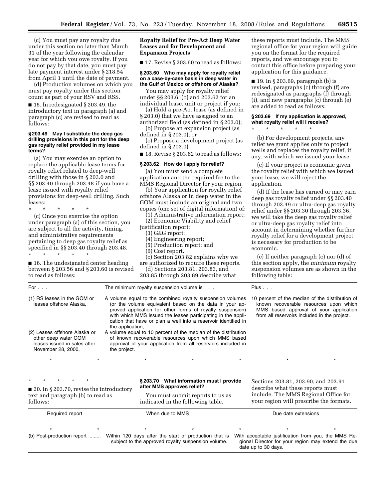(c) You must pay any royalty due under this section no later than March 31 of the year following the calendar year for which you owe royalty. If you do not pay by that date, you must pay late payment interest under § 218.54 from April 1 until the date of payment.

(d) Production volumes on which you must pay royalty under this section count as part of your RSV and RSS.

■ 15. In redesignated § 203.49, the introductory text in paragraph (a) and paragraph (c) are revised to read as follows:

#### **§ 203.49 May I substitute the deep gas drilling provisions in this part for the deep gas royalty relief provided in my lease terms?**

(a) You may exercise an option to replace the applicable lease terms for royalty relief related to deep-well drilling with those in § 203.0 and §§ 203.40 through 203.48 if you have a lease issued with royalty relief provisions for deep-well drilling. Such leases:

\* \* \* \* \*

(c) Once you exercise the option under paragraph (a) of this section, you are subject to all the activity, timing, and administrative requirements pertaining to deep gas royalty relief as specified in §§ 203.40 through 203.48. \* \* \* \* \*

■ 16. The undesignated center heading between § 203.56 and § 203.60 is revised to read as follows:

# **Royalty Relief for Pre-Act Deep Water Leases and for Development and Expansion Projects**

■ 17. Revise § 203.60 to read as follows:

#### **§ 203.60 Who may apply for royalty relief on a case-by-case basis in deep water in the Gulf of Mexico or offshore of Alaska?**

You may apply for royalty relief under §§ 203.61(b) and 203.62 for an individual lease, unit or project if you:

(a) Hold a pre-Act lease (as defined in § 203.0) that we have assigned to an

authorized field (as defined in § 203.0); (b) Propose an expansion project (as defined in § 203.0); or

(c) Propose a development project (as defined in § 203.0).

■ 18. Revise § 203.62 to read as follows:

#### **§ 203.62 How do I apply for relief?**

(a) You must send a complete application and the required fee to the MMS Regional Director for your region.

(b) Your application for royalty relief offshore Alaska or in deep water in the GOM must include an original and two copies (one set of digital information) of:

(1) Administrative information report; (2) Economic Viability and relief

- justification report;
	- (3) G&G report;
	- (4) Engineering report;
	- (5) Production report; and
	- (6) Cost report.

(c) Section 203.82 explains why we are authorized to require these reports.

(d) Sections 203.81, 203.83, and 203.85 through 203.89 describe what

these reports must include. The MMS regional office for your region will guide you on the format for the required reports, and we encourage you to contact this office before preparing your application for this guidance.

 $\blacksquare$  19. In § 203.69, paragraph (b) is revised, paragraphs (c) through (f) are redesignated as paragraphs (f) through (i), and new paragraphs (c) through (e) are added to read as follows:

## **§ 203.69 If my application is approved, what royalty relief will I receive?**

\* \* \* \* \*

(b) For development projects, any relief we grant applies only to project wells and replaces the royalty relief, if any, with which we issued your lease.

(c) If your project is economic given the royalty relief with which we issued your lease, we will reject the application.

(d) If the lease has earned or may earn deep gas royalty relief under §§ 203.40 through 203.49 or ultra-deep gas royalty relief under §§ 203.30 through 203.36, we will take the deep gas royalty relief or ultra-deep gas royalty relief into account in determining whether further royalty relief for a development project is necessary for production to be economic.

(e) If neither paragraph (c) nor (d) of this section apply, the *minimum* royalty suspension volumes are as shown in the following table:

| For $\ldots$                                                                                                |                  | The minimum royalty suspension volume is $\ldots$                                                                                                                                                                                                                                                                   | Plus $\ldots$ |                                                                         |                                                                                                                                                                                     |
|-------------------------------------------------------------------------------------------------------------|------------------|---------------------------------------------------------------------------------------------------------------------------------------------------------------------------------------------------------------------------------------------------------------------------------------------------------------------|---------------|-------------------------------------------------------------------------|-------------------------------------------------------------------------------------------------------------------------------------------------------------------------------------|
| (1) RS leases in the GOM or<br>leases offshore Alaska,                                                      | the application. | A volume equal to the combined royalty suspension volumes<br>(or the volume equivalent based on the data in your ap-<br>proved application for other forms of royalty suspension)<br>with which MMS issued the leases participating in the appli-<br>cation that have or plan a well into a reservoir identified in |               |                                                                         | 10 percent of the median of the distribution of<br>known recoverable resources upon which<br>MMS based approval of your application<br>from all reservoirs included in the project. |
| (2) Leases offshore Alaska or<br>other deep water GOM<br>leases issued in sales after<br>November 28, 2000, | the project.     | A volume equal to 10 percent of the median of the distribution<br>of known recoverable resources upon which MMS based<br>approval of your application from all reservoirs included in                                                                                                                               |               |                                                                         |                                                                                                                                                                                     |
|                                                                                                             |                  |                                                                                                                                                                                                                                                                                                                     |               |                                                                         |                                                                                                                                                                                     |
| $\star$<br>$\star$<br>■ 20. In § 203.70, revise the introductory<br>toyt and personant (b) to read as       |                  | §203.70 What information must I provide<br>after MMS approves relief?<br>You must submit reports to us as                                                                                                                                                                                                           |               | Sections 203.81, 203.90, and 203.91<br>describe what these reports must | include The MMS Regional Office for                                                                                                                                                 |

text and paragraph (b) to read as follows:

You must submit reports to us as indicated in the following table.

include. The MMS Regional Office for your region will prescribe the formats.

date up to 30 days.

| Required report | When due to MMS                                                                                                                                                                             |  | Due date extensions                                |  |  |
|-----------------|---------------------------------------------------------------------------------------------------------------------------------------------------------------------------------------------|--|----------------------------------------------------|--|--|
|                 |                                                                                                                                                                                             |  |                                                    |  |  |
|                 | (b) Post-production report  Within 120 days after the start of production that is With acceptable justification from you, the MMS Re-<br>subject to the approved royalty suspension volume. |  | gional Director for your region may extend the due |  |  |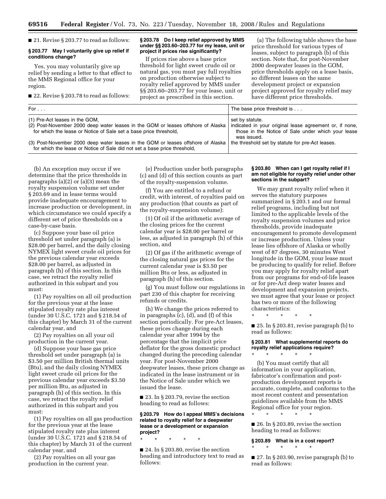■ 21. Revise § 203.77 to read as follows:

#### **§ 203.77 May I voluntarily give up relief if conditions change?**

Yes, you may voluntarily give up relief by sending a letter to that effect to the MMS Regional office for your region.

■ 22. Revise § 203.78 to read as follows:

#### **§ 203.78 Do I keep relief approved by MMS under §§ 203.60–203.77 for my lease, unit or project if prices rise significantly?**

If prices rise above a base price threshold for light sweet crude oil or natural gas, you must pay full royalties on production otherwise subject to royalty relief approved by MMS under §§ 203.60–203.77 for your lease, unit or project as prescribed in this section.

(a) The following table shows the base price threshold for various types of leases, subject to paragraph (b) of this section. Note that, for post-November 2000 deepwater leases in the GOM, price thresholds apply on a lease basis, so different leases on the same development project or expansion project approved for royalty relief may have different price thresholds.

| For $\ldots$                                                                                                                                                                                                                                      | The base price threshold is                                                          |
|---------------------------------------------------------------------------------------------------------------------------------------------------------------------------------------------------------------------------------------------------|--------------------------------------------------------------------------------------|
| (1) Pre-Act leases in the GOM,<br>(2) Post-November 2000 deep water leases in the GOM or leases offshore of Alaska   indicated in your original lease agreement or, if none,<br>for which the lease or Notice of Sale set a base price threshold, | set by statute.<br>those in the Notice of Sale under which your lease<br>was issued. |
| (3) Post-November 2000 deep water leases in the GOM or leases offshore of Alaska<br>for which the lease or Notice of Sale did not set a base price threshold,                                                                                     | the threshold set by statute for pre-Act leases.                                     |

(b) An exception may occur if we determine that the price thresholds in paragraphs (a)(2) or (a)(3) mean the royalty suspension volume set under § 203.69 and in lease terms would provide inadequate encouragement to increase production or development, in which circumstance we could specify a different set of price thresholds on a case-by-case basis.

(c) Suppose your base oil price threshold set under paragraph (a) is \$28.00 per barrel, and the daily closing NYMEX light sweet crude oil prices for the previous calendar year exceeds \$28.00 per barrel, as adjusted in paragraph (h) of this section. In this case, we retract the royalty relief authorized in this subpart and you must:

(1) Pay royalties on all oil production for the previous year at the lease stipulated royalty rate plus interest (under 30 U.S.C. 1721 and § 218.54 of this chapter) by March 31 of the current calendar year, and

(2) Pay royalties on all your oil production in the current year.

(d) Suppose your base gas price threshold set under paragraph (a) is \$3.50 per million British thermal units (Btu), and the daily closing NYMEX light sweet crude oil prices for the previous calendar year exceeds \$3.50 per million Btu, as adjusted in paragraph (h) of this section. In this case, we retract the royalty relief authorized in this subpart and you must:

(1) Pay royalties on all gas production for the previous year at the lease stipulated royalty rate plus interest (under 30 U.S.C. 1721 and § 218.54 of this chapter) by March 31 of the current calendar year, and

(2) Pay royalties on all your gas production in the current year.

(e) Production under both paragraphs (c) and (d) of this section counts as part of the royalty-suspension volume.

(f) You are entitled to a refund or credit, with interest, of royalties paid on any production (that counts as part of the royalty-suspension volume):

(1) Of oil if the arithmetic average of the closing prices for the current calendar year is \$28.00 per barrel or less, as adjusted in paragraph (h) of this section, and

(2) Of gas if the arithmetic average of the closing natural gas prices for the current calendar year is \$3.50 per million Btu or less, as adjusted in paragraph (h) of this section.

(g) You must follow our regulations in part 230 of this chapter for receiving refunds or credits.

(h) We change the prices referred to in paragraphs (c), (d), and (f) of this section periodically. For pre-Act leases, these prices change during each calendar year after 1994 by the percentage that the implicit price deflator for the gross domestic product changed during the preceding calendar year. For post-November 2000 deepwater leases, these prices change as indicated in the lease instrument or in the Notice of Sale under which we issued the lease.

 $\blacksquare$  23. In § 203.79, revise the section heading to read as follows:

# **§ 203.79 How do I appeal MMS's decisions related to royalty relief for a deepwater lease or a development or expansion project?**

\* \* \* \* \*

 $\blacksquare$  24. In § 203.80, revise the section heading and introductory text to read as follows:

#### **§ 203.80 When can I get royalty relief if I am not eligible for royalty relief under other sections in the subpart?**

We may grant royalty relief when it serves the statutory purposes summarized in § 203.1 and our formal relief programs, including but not limited to the applicable levels of the royalty suspension volumes and price thresholds, provide inadequate encouragement to promote development or increase production. Unless your lease lies offshore of Alaska or wholly west of 87 degrees, 30 minutes West longitude in the GOM, your lease must be producing to qualify for relief. Before you may apply for royalty relief apart from our programs for end-of-life leases or for pre-Act deep water leases and development and expansion projects, we must agree that your lease or project has two or more of the following characteristics:

\* \* \* \* \*

\* \* \* \* \*

\* \* \* \* \*

■ 25. In § 203.81, revise paragraph (b) to read as follows:

# **§ 203.81 What supplemental reports do royalty relief applications require?**

(b) You must certify that all information in your application, fabricator's confirmation and postproduction development reports is accurate, complete, and conforms to the most recent content and presentation guidelines available from the MMS Regional office for your region.

 $\blacksquare$  26. In § 203.89, revise the section heading to read as follows:

**§ 203.89 What is in a cost report?**  \* \* \* \* \*

■ 27. In § 203.90, revise paragraph (b) to read as follows: